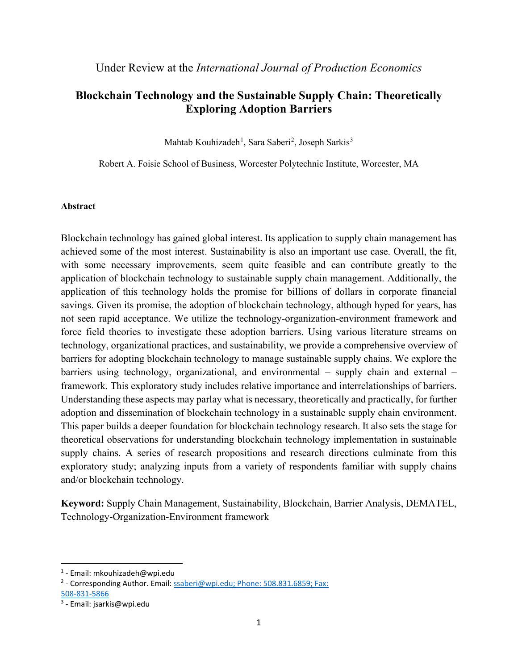# **Blockchain Technology and the Sustainable Supply Chain: Theoretically Exploring Adoption Barriers**

Mahtab Kouhizadeh<sup>[1](#page-0-0)</sup>, Sara Saberi<sup>[2](#page-0-1)</sup>, Joseph Sarkis<sup>[3](#page-0-2)</sup>

Robert A. Foisie School of Business, Worcester Polytechnic Institute, Worcester, MA

# **Abstract**

Blockchain technology has gained global interest. Its application to supply chain management has achieved some of the most interest. Sustainability is also an important use case. Overall, the fit, with some necessary improvements, seem quite feasible and can contribute greatly to the application of blockchain technology to sustainable supply chain management. Additionally, the application of this technology holds the promise for billions of dollars in corporate financial savings. Given its promise, the adoption of blockchain technology, although hyped for years, has not seen rapid acceptance. We utilize the technology-organization-environment framework and force field theories to investigate these adoption barriers. Using various literature streams on technology, organizational practices, and sustainability, we provide a comprehensive overview of barriers for adopting blockchain technology to manage sustainable supply chains. We explore the barriers using technology, organizational, and environmental – supply chain and external – framework. This exploratory study includes relative importance and interrelationships of barriers. Understanding these aspects may parlay what is necessary, theoretically and practically, for further adoption and dissemination of blockchain technology in a sustainable supply chain environment. This paper builds a deeper foundation for blockchain technology research. It also sets the stage for theoretical observations for understanding blockchain technology implementation in sustainable supply chains. A series of research propositions and research directions culminate from this exploratory study; analyzing inputs from a variety of respondents familiar with supply chains and/or blockchain technology.

**Keyword:** Supply Chain Management, Sustainability, Blockchain, Barrier Analysis, DEMATEL, Technology-Organization-Environment framework

<span id="page-0-0"></span> <sup>1</sup> - Email: mkouhizadeh@wpi.edu

<span id="page-0-1"></span><sup>&</sup>lt;sup>2</sup> - Corresponding Author. Email: [ssaberi@wpi.edu;](mailto:ssaberi@wpi.edu) Phone: 508.831.6859; Fax:

<sup>508-831-5866</sup>

<span id="page-0-2"></span><sup>3</sup> - Email: jsarkis@wpi.edu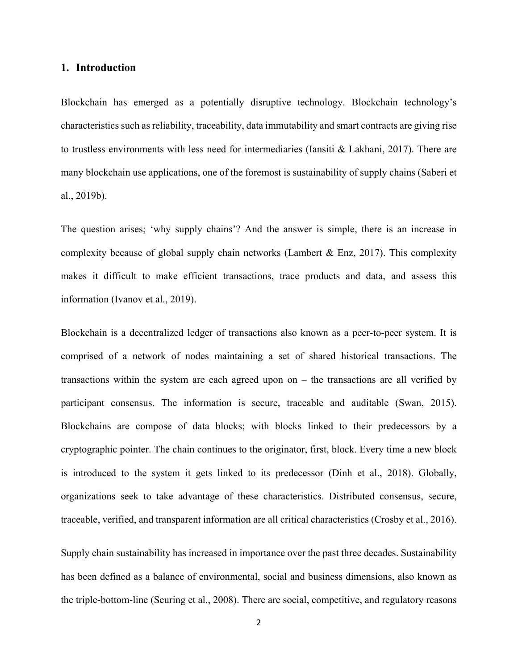# **1. Introduction**

Blockchain has emerged as a potentially disruptive technology. Blockchain technology's characteristics such as reliability, traceability, data immutability and smart contracts are giving rise to trustless environments with less need for intermediaries (Iansiti & Lakhani, 2017). There are many blockchain use applications, one of the foremost is sustainability of supply chains (Saberi et al., 2019b).

The question arises; 'why supply chains'? And the answer is simple, there is an increase in complexity because of global supply chain networks (Lambert & Enz, 2017). This complexity makes it difficult to make efficient transactions, trace products and data, and assess this information (Ivanov et al., 2019).

Blockchain is a decentralized ledger of transactions also known as a peer-to-peer system. It is comprised of a network of nodes maintaining a set of shared historical transactions. The transactions within the system are each agreed upon on – the transactions are all verified by participant consensus. The information is secure, traceable and auditable (Swan, 2015). Blockchains are compose of data blocks; with blocks linked to their predecessors by a cryptographic pointer. The chain continues to the originator, first, block. Every time a new block is introduced to the system it gets linked to its predecessor (Dinh et al., 2018). Globally, organizations seek to take advantage of these characteristics. Distributed consensus, secure, traceable, verified, and transparent information are all critical characteristics (Crosby et al., 2016).

Supply chain sustainability has increased in importance over the past three decades. Sustainability has been defined as a balance of environmental, social and business dimensions, also known as the triple-bottom-line (Seuring et al., 2008). There are social, competitive, and regulatory reasons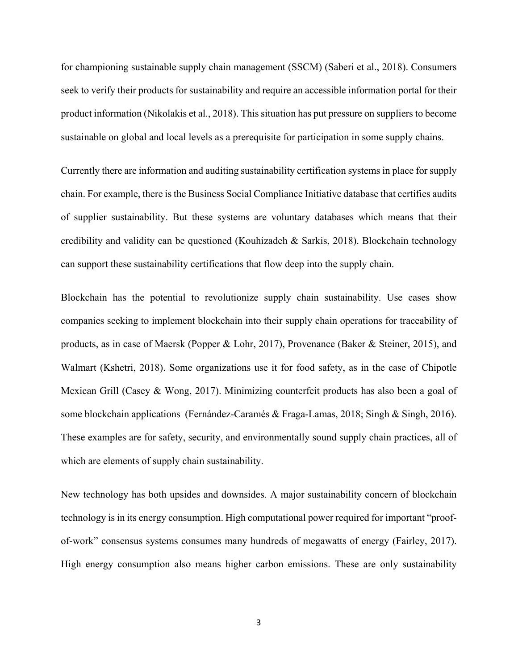for championing sustainable supply chain management (SSCM) (Saberi et al., 2018). Consumers seek to verify their products for sustainability and require an accessible information portal for their product information (Nikolakis et al., 2018). This situation has put pressure on suppliers to become sustainable on global and local levels as a prerequisite for participation in some supply chains.

Currently there are information and auditing sustainability certification systems in place for supply chain. For example, there is the Business Social Compliance Initiative database that certifies audits of supplier sustainability. But these systems are voluntary databases which means that their credibility and validity can be questioned (Kouhizadeh & Sarkis, 2018). Blockchain technology can support these sustainability certifications that flow deep into the supply chain.

Blockchain has the potential to revolutionize supply chain sustainability. Use cases show companies seeking to implement blockchain into their supply chain operations for traceability of products, as in case of Maersk (Popper & Lohr, 2017), Provenance (Baker & Steiner, 2015), and Walmart (Kshetri, 2018). Some organizations use it for food safety, as in the case of Chipotle Mexican Grill (Casey & Wong, 2017). Minimizing counterfeit products has also been a goal of some blockchain applications (Fernández-Caramés & Fraga-Lamas, 2018; Singh & Singh, 2016). These examples are for safety, security, and environmentally sound supply chain practices, all of which are elements of supply chain sustainability.

New technology has both upsides and downsides. A major sustainability concern of blockchain technology is in its energy consumption. High computational power required for important "proofof-work" consensus systems consumes many hundreds of megawatts of energy (Fairley, 2017). High energy consumption also means higher carbon emissions. These are only sustainability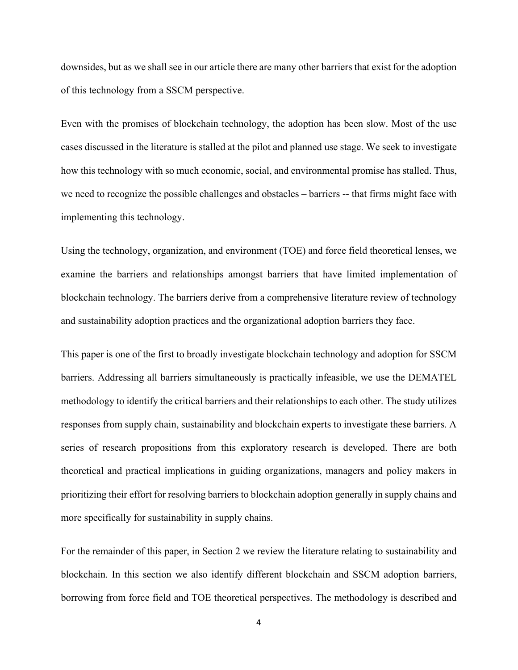downsides, but as we shall see in our article there are many other barriers that exist for the adoption of this technology from a SSCM perspective.

Even with the promises of blockchain technology, the adoption has been slow. Most of the use cases discussed in the literature is stalled at the pilot and planned use stage. We seek to investigate how this technology with so much economic, social, and environmental promise has stalled. Thus, we need to recognize the possible challenges and obstacles – barriers -- that firms might face with implementing this technology.

Using the technology, organization, and environment (TOE) and force field theoretical lenses, we examine the barriers and relationships amongst barriers that have limited implementation of blockchain technology. The barriers derive from a comprehensive literature review of technology and sustainability adoption practices and the organizational adoption barriers they face.

This paper is one of the first to broadly investigate blockchain technology and adoption for SSCM barriers. Addressing all barriers simultaneously is practically infeasible, we use the DEMATEL methodology to identify the critical barriers and their relationships to each other. The study utilizes responses from supply chain, sustainability and blockchain experts to investigate these barriers. A series of research propositions from this exploratory research is developed. There are both theoretical and practical implications in guiding organizations, managers and policy makers in prioritizing their effort for resolving barriers to blockchain adoption generally in supply chains and more specifically for sustainability in supply chains.

For the remainder of this paper, in Section 2 we review the literature relating to sustainability and blockchain. In this section we also identify different blockchain and SSCM adoption barriers, borrowing from force field and TOE theoretical perspectives. The methodology is described and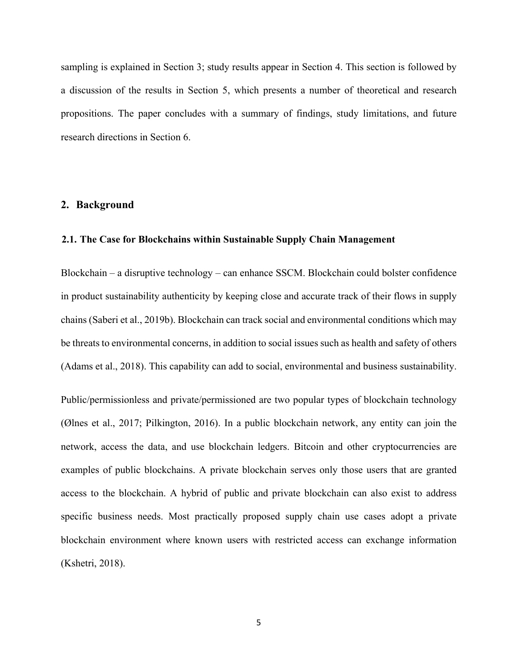sampling is explained in Section 3; study results appear in Section 4. This section is followed by a discussion of the results in Section 5, which presents a number of theoretical and research propositions. The paper concludes with a summary of findings, study limitations, and future research directions in Section 6.

# **2. Background**

# **2.1. The Case for Blockchains within Sustainable Supply Chain Management**

Blockchain – a disruptive technology – can enhance SSCM. Blockchain could bolster confidence in product sustainability authenticity by keeping close and accurate track of their flows in supply chains (Saberi et al., 2019b). Blockchain can track social and environmental conditions which may be threats to environmental concerns, in addition to social issues such as health and safety of others (Adams et al., 2018). This capability can add to social, environmental and business sustainability.

Public/permissionless and private/permissioned are two popular types of blockchain technology (Ølnes et al., 2017; Pilkington, 2016). In a public blockchain network, any entity can join the network, access the data, and use blockchain ledgers. Bitcoin and other cryptocurrencies are examples of public blockchains. A private blockchain serves only those users that are granted access to the blockchain. A hybrid of public and private blockchain can also exist to address specific business needs. Most practically proposed supply chain use cases adopt a private blockchain environment where known users with restricted access can exchange information (Kshetri, 2018).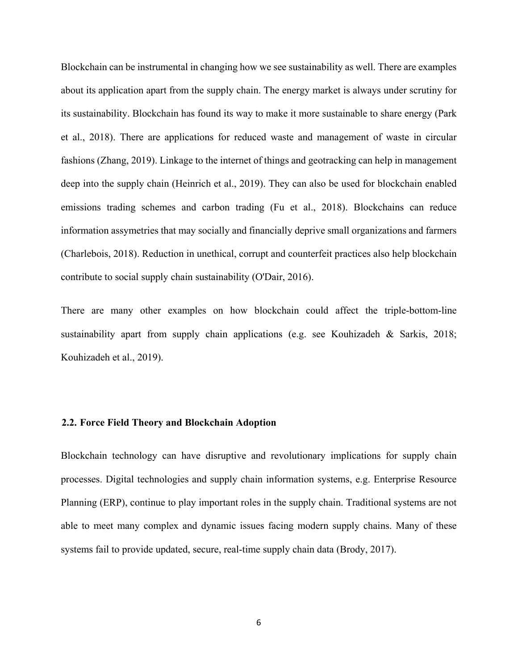Blockchain can be instrumental in changing how we see sustainability as well. There are examples about its application apart from the supply chain. The energy market is always under scrutiny for its sustainability. Blockchain has found its way to make it more sustainable to share energy (Park et al., 2018). There are applications for reduced waste and management of waste in circular fashions (Zhang, 2019). Linkage to the internet of things and geotracking can help in management deep into the supply chain (Heinrich et al., 2019). They can also be used for blockchain enabled emissions trading schemes and carbon trading (Fu et al., 2018). Blockchains can reduce information assymetries that may socially and financially deprive small organizations and farmers (Charlebois, 2018). Reduction in unethical, corrupt and counterfeit practices also help blockchain contribute to social supply chain sustainability (O'Dair, 2016).

There are many other examples on how blockchain could affect the triple-bottom-line sustainability apart from supply chain applications (e.g. see Kouhizadeh & Sarkis, 2018; Kouhizadeh et al., 2019).

#### **2.2. Force Field Theory and Blockchain Adoption**

Blockchain technology can have disruptive and revolutionary implications for supply chain processes. Digital technologies and supply chain information systems, e.g. Enterprise Resource Planning (ERP), continue to play important roles in the supply chain. Traditional systems are not able to meet many complex and dynamic issues facing modern supply chains. Many of these systems fail to provide updated, secure, real-time supply chain data (Brody, 2017).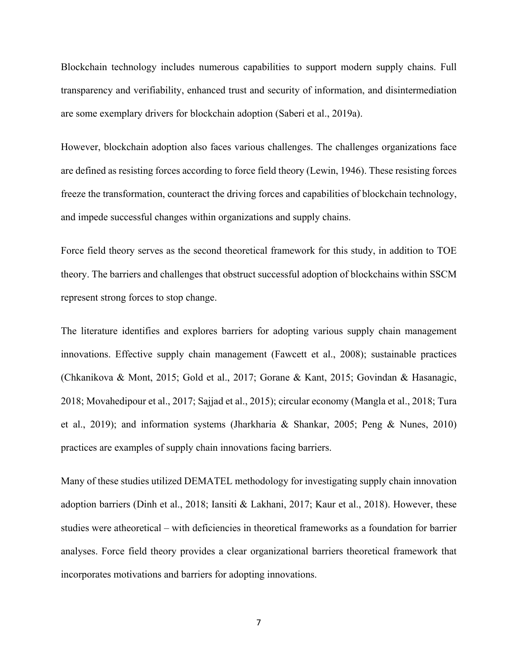Blockchain technology includes numerous capabilities to support modern supply chains. Full transparency and verifiability, enhanced trust and security of information, and disintermediation are some exemplary drivers for blockchain adoption (Saberi et al., 2019a).

However, blockchain adoption also faces various challenges. The challenges organizations face are defined as resisting forces according to force field theory (Lewin, 1946). These resisting forces freeze the transformation, counteract the driving forces and capabilities of blockchain technology, and impede successful changes within organizations and supply chains.

Force field theory serves as the second theoretical framework for this study, in addition to TOE theory. The barriers and challenges that obstruct successful adoption of blockchains within SSCM represent strong forces to stop change.

The literature identifies and explores barriers for adopting various supply chain management innovations. Effective supply chain management (Fawcett et al., 2008); sustainable practices (Chkanikova & Mont, 2015; Gold et al., 2017; Gorane & Kant, 2015; Govindan & Hasanagic, 2018; Movahedipour et al., 2017; Sajjad et al., 2015); circular economy (Mangla et al., 2018; Tura et al., 2019); and information systems (Jharkharia & Shankar, 2005; Peng & Nunes, 2010) practices are examples of supply chain innovations facing barriers.

Many of these studies utilized DEMATEL methodology for investigating supply chain innovation adoption barriers (Dinh et al., 2018; Iansiti & Lakhani, 2017; Kaur et al., 2018). However, these studies were atheoretical – with deficiencies in theoretical frameworks as a foundation for barrier analyses. Force field theory provides a clear organizational barriers theoretical framework that incorporates motivations and barriers for adopting innovations.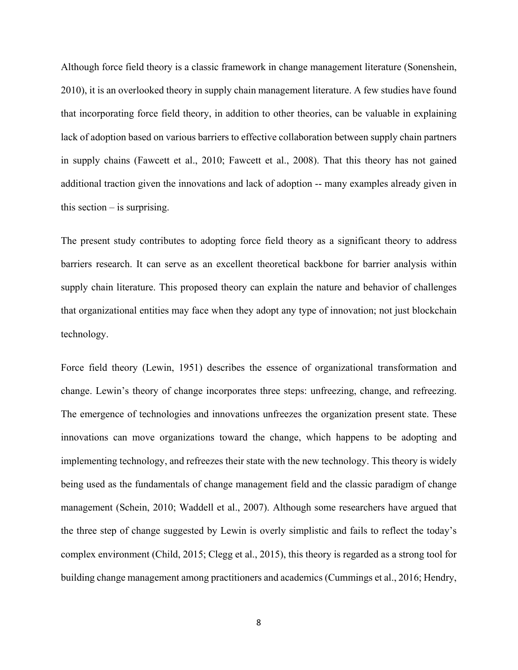Although force field theory is a classic framework in change management literature (Sonenshein, 2010), it is an overlooked theory in supply chain management literature. A few studies have found that incorporating force field theory, in addition to other theories, can be valuable in explaining lack of adoption based on various barriers to effective collaboration between supply chain partners in supply chains (Fawcett et al., 2010; Fawcett et al., 2008). That this theory has not gained additional traction given the innovations and lack of adoption -- many examples already given in this section  $-$  is surprising.

The present study contributes to adopting force field theory as a significant theory to address barriers research. It can serve as an excellent theoretical backbone for barrier analysis within supply chain literature. This proposed theory can explain the nature and behavior of challenges that organizational entities may face when they adopt any type of innovation; not just blockchain technology.

Force field theory (Lewin, 1951) describes the essence of organizational transformation and change. Lewin's theory of change incorporates three steps: unfreezing, change, and refreezing. The emergence of technologies and innovations unfreezes the organization present state. These innovations can move organizations toward the change, which happens to be adopting and implementing technology, and refreezes their state with the new technology. This theory is widely being used as the fundamentals of change management field and the classic paradigm of change management (Schein, 2010; Waddell et al., 2007). Although some researchers have argued that the three step of change suggested by Lewin is overly simplistic and fails to reflect the today's complex environment (Child, 2015; Clegg et al., 2015), this theory is regarded as a strong tool for building change management among practitioners and academics (Cummings et al., 2016; Hendry,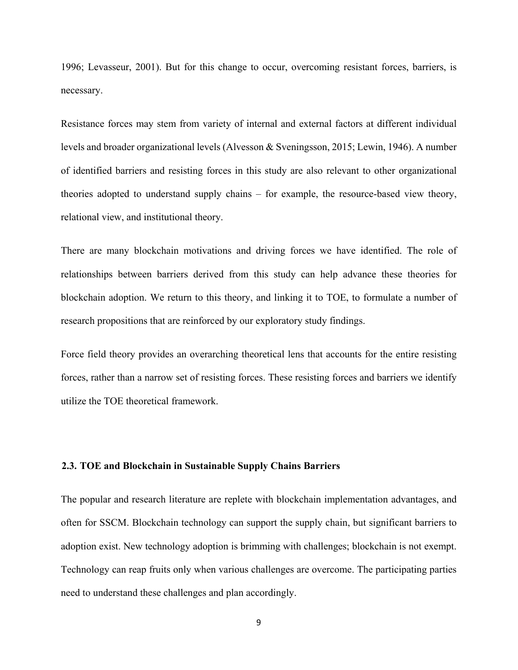1996; Levasseur, 2001). But for this change to occur, overcoming resistant forces, barriers, is necessary.

Resistance forces may stem from variety of internal and external factors at different individual levels and broader organizational levels (Alvesson & Sveningsson, 2015; Lewin, 1946). A number of identified barriers and resisting forces in this study are also relevant to other organizational theories adopted to understand supply chains – for example, the resource-based view theory, relational view, and institutional theory.

There are many blockchain motivations and driving forces we have identified. The role of relationships between barriers derived from this study can help advance these theories for blockchain adoption. We return to this theory, and linking it to TOE, to formulate a number of research propositions that are reinforced by our exploratory study findings.

Force field theory provides an overarching theoretical lens that accounts for the entire resisting forces, rather than a narrow set of resisting forces. These resisting forces and barriers we identify utilize the TOE theoretical framework.

# **2.3. TOE and Blockchain in Sustainable Supply Chains Barriers**

The popular and research literature are replete with blockchain implementation advantages, and often for SSCM. Blockchain technology can support the supply chain, but significant barriers to adoption exist. New technology adoption is brimming with challenges; blockchain is not exempt. Technology can reap fruits only when various challenges are overcome. The participating parties need to understand these challenges and plan accordingly.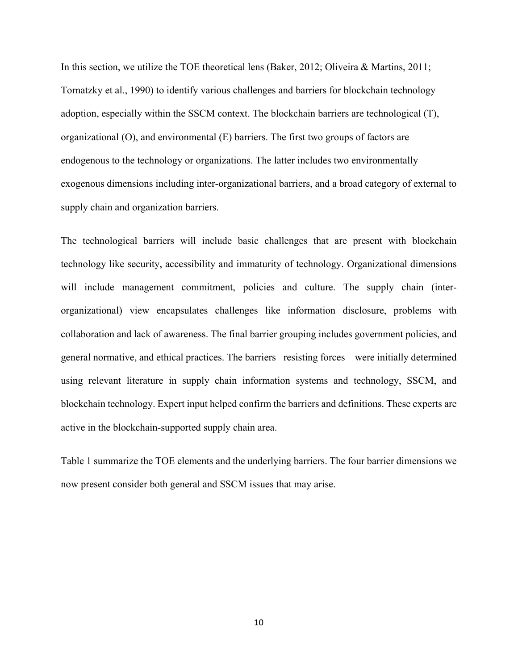In this section, we utilize the TOE theoretical lens (Baker, 2012; Oliveira & Martins, 2011; Tornatzky et al., 1990) to identify various challenges and barriers for blockchain technology adoption, especially within the SSCM context. The blockchain barriers are technological (T), organizational (O), and environmental (E) barriers. The first two groups of factors are endogenous to the technology or organizations. The latter includes two environmentally exogenous dimensions including inter-organizational barriers, and a broad category of external to supply chain and organization barriers.

The technological barriers will include basic challenges that are present with blockchain technology like security, accessibility and immaturity of technology. Organizational dimensions will include management commitment, policies and culture. The supply chain (interorganizational) view encapsulates challenges like information disclosure, problems with collaboration and lack of awareness. The final barrier grouping includes government policies, and general normative, and ethical practices. The barriers –resisting forces – were initially determined using relevant literature in supply chain information systems and technology, SSCM, and blockchain technology. Expert input helped confirm the barriers and definitions. These experts are active in the blockchain-supported supply chain area.

Table 1 summarize the TOE elements and the underlying barriers. The four barrier dimensions we now present consider both general and SSCM issues that may arise.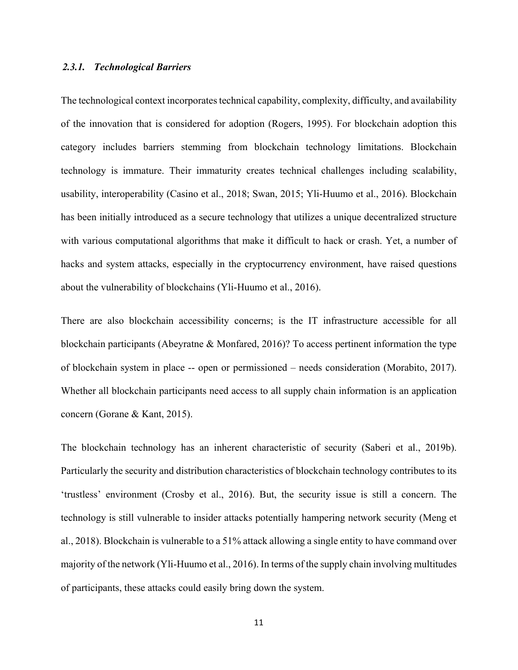## *2.3.1. Technological Barriers*

The technological context incorporates technical capability, complexity, difficulty, and availability of the innovation that is considered for adoption (Rogers, 1995). For blockchain adoption this category includes barriers stemming from blockchain technology limitations. Blockchain technology is immature. Their immaturity creates technical challenges including scalability, usability, interoperability (Casino et al., 2018; Swan, 2015; Yli-Huumo et al., 2016). Blockchain has been initially introduced as a secure technology that utilizes a unique decentralized structure with various computational algorithms that make it difficult to hack or crash. Yet, a number of hacks and system attacks, especially in the cryptocurrency environment, have raised questions about the vulnerability of blockchains (Yli-Huumo et al., 2016).

There are also blockchain accessibility concerns; is the IT infrastructure accessible for all blockchain participants (Abeyratne & Monfared, 2016)? To access pertinent information the type of blockchain system in place -- open or permissioned – needs consideration (Morabito, 2017). Whether all blockchain participants need access to all supply chain information is an application concern (Gorane & Kant, 2015).

The blockchain technology has an inherent characteristic of security (Saberi et al., 2019b). Particularly the security and distribution characteristics of blockchain technology contributes to its 'trustless' environment (Crosby et al., 2016). But, the security issue is still a concern. The technology is still vulnerable to insider attacks potentially hampering network security (Meng et al., 2018). Blockchain is vulnerable to a 51% attack allowing a single entity to have command over majority of the network (Yli-Huumo et al., 2016). In terms of the supply chain involving multitudes of participants, these attacks could easily bring down the system.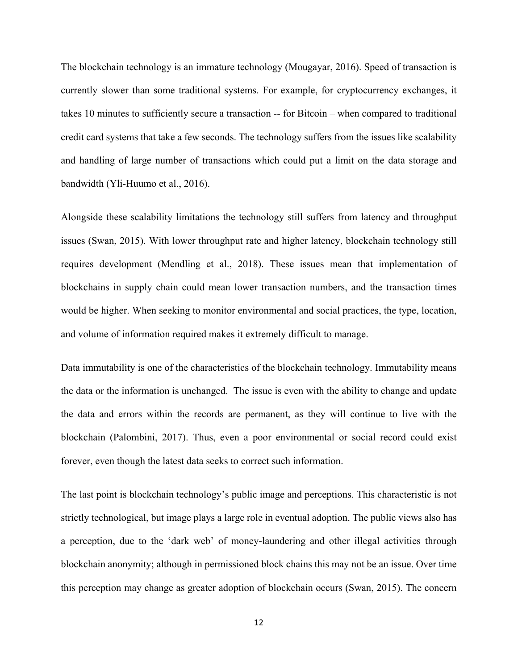The blockchain technology is an immature technology (Mougayar, 2016). Speed of transaction is currently slower than some traditional systems. For example, for cryptocurrency exchanges, it takes 10 minutes to sufficiently secure a transaction -- for Bitcoin – when compared to traditional credit card systems that take a few seconds. The technology suffers from the issues like scalability and handling of large number of transactions which could put a limit on the data storage and bandwidth (Yli-Huumo et al., 2016).

Alongside these scalability limitations the technology still suffers from latency and throughput issues (Swan, 2015). With lower throughput rate and higher latency, blockchain technology still requires development (Mendling et al., 2018). These issues mean that implementation of blockchains in supply chain could mean lower transaction numbers, and the transaction times would be higher. When seeking to monitor environmental and social practices, the type, location, and volume of information required makes it extremely difficult to manage.

Data immutability is one of the characteristics of the blockchain technology. Immutability means the data or the information is unchanged. The issue is even with the ability to change and update the data and errors within the records are permanent, as they will continue to live with the blockchain (Palombini, 2017). Thus, even a poor environmental or social record could exist forever, even though the latest data seeks to correct such information.

The last point is blockchain technology's public image and perceptions. This characteristic is not strictly technological, but image plays a large role in eventual adoption. The public views also has a perception, due to the 'dark web' of money-laundering and other illegal activities through blockchain anonymity; although in permissioned block chains this may not be an issue. Over time this perception may change as greater adoption of blockchain occurs (Swan, 2015). The concern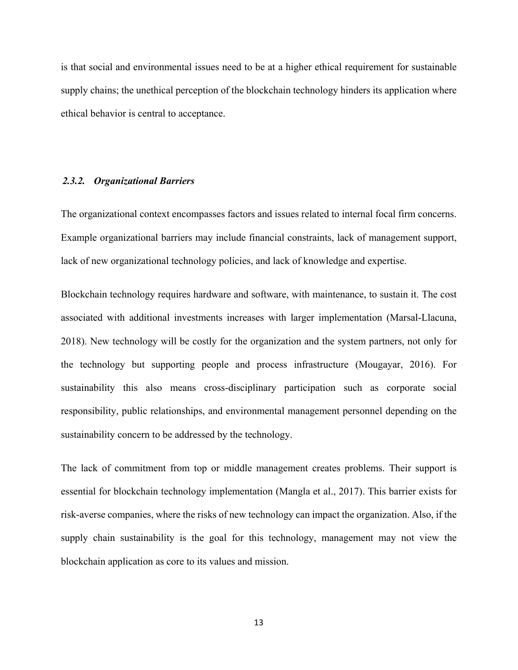is that social and environmental issues need to be at a higher ethical requirement for sustainable supply chains; the unethical perception of the blockchain technology hinders its application where ethical behavior is central to acceptance.

#### *2.3.2. Organizational Barriers*

The organizational context encompasses factors and issues related to internal focal firm concerns. Example organizational barriers may include financial constraints, lack of management support, lack of new organizational technology policies, and lack of knowledge and expertise.

Blockchain technology requires hardware and software, with maintenance, to sustain it. The cost associated with additional investments increases with larger implementation (Marsal-Llacuna, 2018). New technology will be costly for the organization and the system partners, not only for the technology but supporting people and process infrastructure (Mougayar, 2016). For sustainability this also means cross-disciplinary participation such as corporate social responsibility, public relationships, and environmental management personnel depending on the sustainability concern to be addressed by the technology.

The lack of commitment from top or middle management creates problems. Their support is essential for blockchain technology implementation (Mangla et al., 2017). This barrier exists for risk-averse companies, where the risks of new technology can impact the organization. Also, if the supply chain sustainability is the goal for this technology, management may not view the blockchain application as core to its values and mission.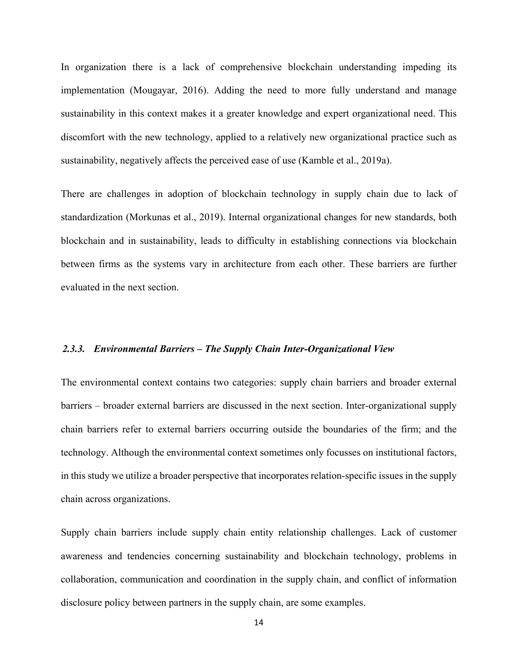In organization there is a lack of comprehensive blockchain understanding impeding its implementation (Mougayar, 2016). Adding the need to more fully understand and manage sustainability in this context makes it a greater knowledge and expert organizational need. This discomfort with the new technology, applied to a relatively new organizational practice such as sustainability, negatively affects the perceived ease of use (Kamble et al., 2019a).

There are challenges in adoption of blockchain technology in supply chain due to lack of standardization (Morkunas et al., 2019). Internal organizational changes for new standards, both blockchain and in sustainability, leads to difficulty in establishing connections via blockchain between firms as the systems vary in architecture from each other. These barriers are further evaluated in the next section.

#### *2.3.3. Environmental Barriers – The Supply Chain Inter-Organizational View*

The environmental context contains two categories: supply chain barriers and broader external barriers – broader external barriers are discussed in the next section. Inter-organizational supply chain barriers refer to external barriers occurring outside the boundaries of the firm; and the technology. Although the environmental context sometimes only focusses on institutional factors, in this study we utilize a broader perspective that incorporates relation-specific issues in the supply chain across organizations.

Supply chain barriers include supply chain entity relationship challenges. Lack of customer awareness and tendencies concerning sustainability and blockchain technology, problems in collaboration, communication and coordination in the supply chain, and conflict of information disclosure policy between partners in the supply chain, are some examples.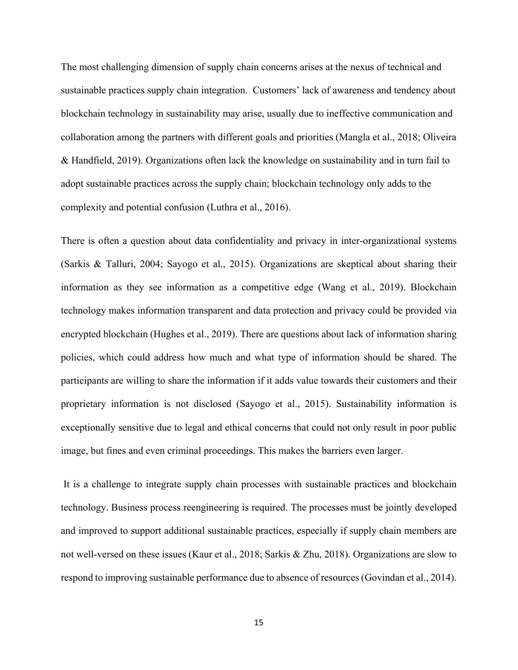The most challenging dimension of supply chain concerns arises at the nexus of technical and sustainable practices supply chain integration. Customers' lack of awareness and tendency about blockchain technology in sustainability may arise, usually due to ineffective communication and collaboration among the partners with different goals and priorities (Mangla et al., 2018; Oliveira & Handfield, 2019). Organizations often lack the knowledge on sustainability and in turn fail to adopt sustainable practices across the supply chain; blockchain technology only adds to the complexity and potential confusion (Luthra et al., 2016).

There is often a question about data confidentiality and privacy in inter-organizational systems (Sarkis & Talluri, 2004; Sayogo et al., 2015). Organizations are skeptical about sharing their information as they see information as a competitive edge (Wang et al., 2019). Blockchain technology makes information transparent and data protection and privacy could be provided via encrypted blockchain (Hughes et al., 2019). There are questions about lack of information sharing policies, which could address how much and what type of information should be shared. The participants are willing to share the information if it adds value towards their customers and their proprietary information is not disclosed (Sayogo et al., 2015). Sustainability information is exceptionally sensitive due to legal and ethical concerns that could not only result in poor public image, but fines and even criminal proceedings. This makes the barriers even larger.

It is a challenge to integrate supply chain processes with sustainable practices and blockchain technology. Business process reengineering is required. The processes must be jointly developed and improved to support additional sustainable practices, especially if supply chain members are not well-versed on these issues (Kaur et al., 2018; Sarkis & Zhu, 2018). Organizations are slow to respond to improving sustainable performance due to absence of resources (Govindan et al., 2014).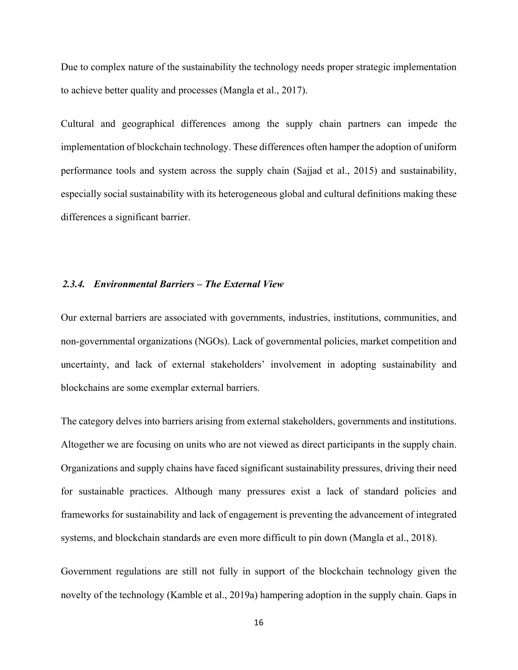Due to complex nature of the sustainability the technology needs proper strategic implementation to achieve better quality and processes (Mangla et al., 2017).

Cultural and geographical differences among the supply chain partners can impede the implementation of blockchain technology. These differences often hamper the adoption of uniform performance tools and system across the supply chain (Sajjad et al., 2015) and sustainability, especially social sustainability with its heterogeneous global and cultural definitions making these differences a significant barrier.

### *2.3.4. Environmental Barriers – The External View*

Our external barriers are associated with governments, industries, institutions, communities, and non-governmental organizations (NGOs). Lack of governmental policies, market competition and uncertainty, and lack of external stakeholders' involvement in adopting sustainability and blockchains are some exemplar external barriers.

The category delves into barriers arising from external stakeholders, governments and institutions. Altogether we are focusing on units who are not viewed as direct participants in the supply chain. Organizations and supply chains have faced significant sustainability pressures, driving their need for sustainable practices. Although many pressures exist a lack of standard policies and frameworks for sustainability and lack of engagement is preventing the advancement of integrated systems, and blockchain standards are even more difficult to pin down (Mangla et al., 2018).

Government regulations are still not fully in support of the blockchain technology given the novelty of the technology (Kamble et al., 2019a) hampering adoption in the supply chain. Gaps in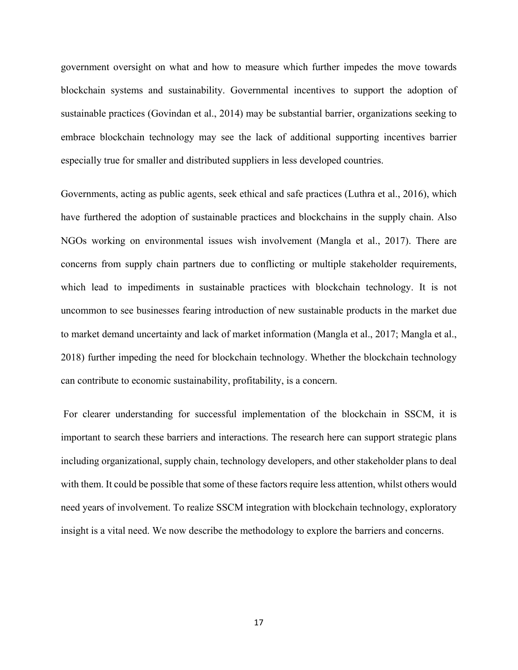government oversight on what and how to measure which further impedes the move towards blockchain systems and sustainability. Governmental incentives to support the adoption of sustainable practices (Govindan et al., 2014) may be substantial barrier, organizations seeking to embrace blockchain technology may see the lack of additional supporting incentives barrier especially true for smaller and distributed suppliers in less developed countries.

Governments, acting as public agents, seek ethical and safe practices (Luthra et al., 2016), which have furthered the adoption of sustainable practices and blockchains in the supply chain. Also NGOs working on environmental issues wish involvement (Mangla et al., 2017). There are concerns from supply chain partners due to conflicting or multiple stakeholder requirements, which lead to impediments in sustainable practices with blockchain technology. It is not uncommon to see businesses fearing introduction of new sustainable products in the market due to market demand uncertainty and lack of market information (Mangla et al., 2017; Mangla et al., 2018) further impeding the need for blockchain technology. Whether the blockchain technology can contribute to economic sustainability, profitability, is a concern.

For clearer understanding for successful implementation of the blockchain in SSCM, it is important to search these barriers and interactions. The research here can support strategic plans including organizational, supply chain, technology developers, and other stakeholder plans to deal with them. It could be possible that some of these factors require less attention, whilst others would need years of involvement. To realize SSCM integration with blockchain technology, exploratory insight is a vital need. We now describe the methodology to explore the barriers and concerns.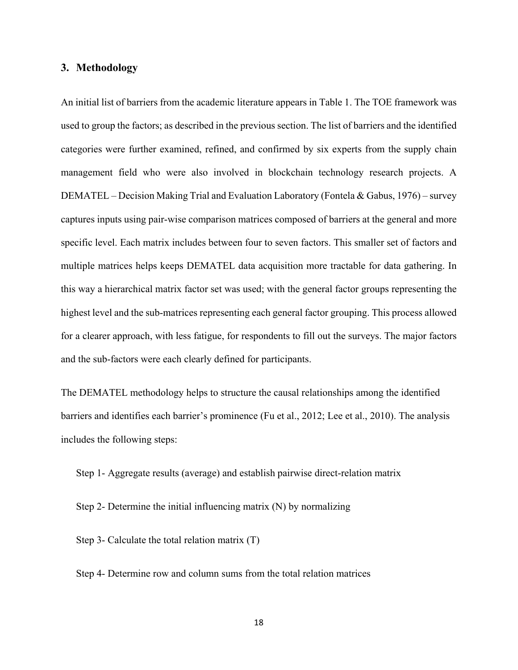# **3. Methodology**

An initial list of barriers from the academic literature appears in Table 1. The TOE framework was used to group the factors; as described in the previous section. The list of barriers and the identified categories were further examined, refined, and confirmed by six experts from the supply chain management field who were also involved in blockchain technology research projects. A DEMATEL – Decision Making Trial and Evaluation Laboratory (Fontela & Gabus, 1976) – survey captures inputs using pair-wise comparison matrices composed of barriers at the general and more specific level. Each matrix includes between four to seven factors. This smaller set of factors and multiple matrices helps keeps DEMATEL data acquisition more tractable for data gathering. In this way a hierarchical matrix factor set was used; with the general factor groups representing the highest level and the sub-matrices representing each general factor grouping. This process allowed for a clearer approach, with less fatigue, for respondents to fill out the surveys. The major factors and the sub-factors were each clearly defined for participants.

The DEMATEL methodology helps to structure the causal relationships among the identified barriers and identifies each barrier's prominence (Fu et al., 2012; Lee et al., 2010). The analysis includes the following steps:

Step 1- Aggregate results (average) and establish pairwise direct-relation matrix

Step 2- Determine the initial influencing matrix (N) by normalizing

Step 3- Calculate the total relation matrix (T)

Step 4- Determine row and column sums from the total relation matrices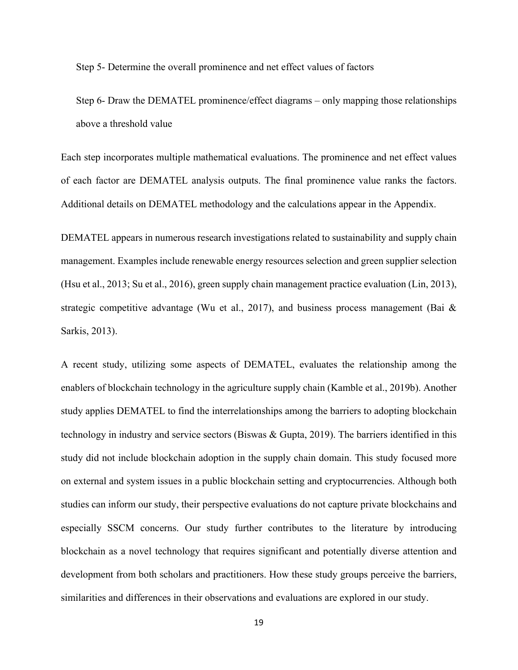Step 5- Determine the overall prominence and net effect values of factors

Step 6- Draw the DEMATEL prominence/effect diagrams – only mapping those relationships above a threshold value

Each step incorporates multiple mathematical evaluations. The prominence and net effect values of each factor are DEMATEL analysis outputs. The final prominence value ranks the factors. Additional details on DEMATEL methodology and the calculations appear in the Appendix.

DEMATEL appears in numerous research investigations related to sustainability and supply chain management. Examples include renewable energy resources selection and green supplier selection (Hsu et al., 2013; Su et al., 2016), green supply chain management practice evaluation (Lin, 2013), strategic competitive advantage (Wu et al., 2017), and business process management (Bai  $\&$ Sarkis, 2013).

A recent study, utilizing some aspects of DEMATEL, evaluates the relationship among the enablers of blockchain technology in the agriculture supply chain (Kamble et al., 2019b). Another study applies DEMATEL to find the interrelationships among the barriers to adopting blockchain technology in industry and service sectors (Biswas & Gupta, 2019). The barriers identified in this study did not include blockchain adoption in the supply chain domain. This study focused more on external and system issues in a public blockchain setting and cryptocurrencies. Although both studies can inform our study, their perspective evaluations do not capture private blockchains and especially SSCM concerns. Our study further contributes to the literature by introducing blockchain as a novel technology that requires significant and potentially diverse attention and development from both scholars and practitioners. How these study groups perceive the barriers, similarities and differences in their observations and evaluations are explored in our study.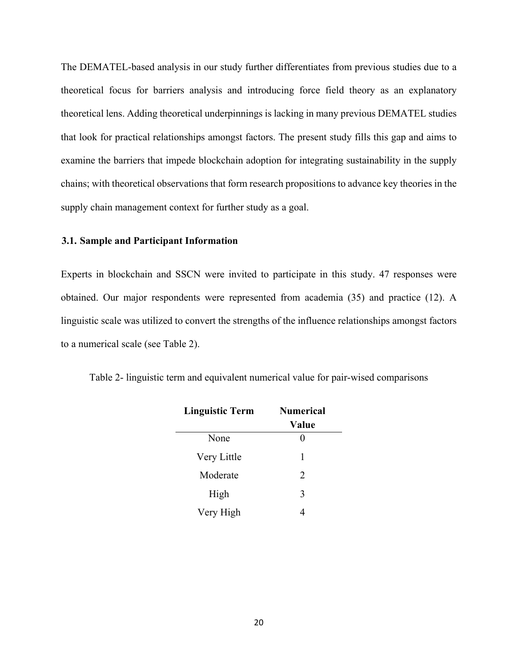The DEMATEL-based analysis in our study further differentiates from previous studies due to a theoretical focus for barriers analysis and introducing force field theory as an explanatory theoretical lens. Adding theoretical underpinnings is lacking in many previous DEMATEL studies that look for practical relationships amongst factors. The present study fills this gap and aims to examine the barriers that impede blockchain adoption for integrating sustainability in the supply chains; with theoretical observations that form research propositions to advance key theories in the supply chain management context for further study as a goal.

# **3.1. Sample and Participant Information**

Experts in blockchain and SSCN were invited to participate in this study. 47 responses were obtained. Our major respondents were represented from academia (35) and practice (12). A linguistic scale was utilized to convert the strengths of the influence relationships amongst factors to a numerical scale (see Table 2).

| <b>Linguistic Term</b> | <b>Numerical</b><br>Value |
|------------------------|---------------------------|
| None                   |                           |
| Very Little            | 1                         |
| Moderate               | 2                         |
| High                   | 3                         |
| Very High              |                           |

Table 2- linguistic term and equivalent numerical value for pair-wised comparisons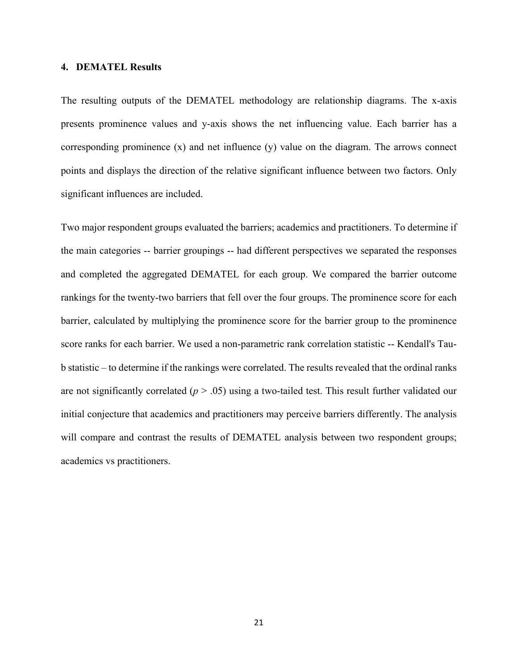#### **4. DEMATEL Results**

The resulting outputs of the DEMATEL methodology are relationship diagrams. The x-axis presents prominence values and y-axis shows the net influencing value. Each barrier has a corresponding prominence (x) and net influence (y) value on the diagram. The arrows connect points and displays the direction of the relative significant influence between two factors. Only significant influences are included.

Two major respondent groups evaluated the barriers; academics and practitioners. To determine if the main categories -- barrier groupings -- had different perspectives we separated the responses and completed the aggregated DEMATEL for each group. We compared the barrier outcome rankings for the twenty-two barriers that fell over the four groups. The prominence score for each barrier, calculated by multiplying the prominence score for the barrier group to the prominence score ranks for each barrier. We used a non-parametric rank correlation statistic -- Kendall's Taub statistic – to determine if the rankings were correlated. The results revealed that the ordinal ranks are not significantly correlated  $(p > .05)$  using a two-tailed test. This result further validated our initial conjecture that academics and practitioners may perceive barriers differently. The analysis will compare and contrast the results of DEMATEL analysis between two respondent groups; academics vs practitioners.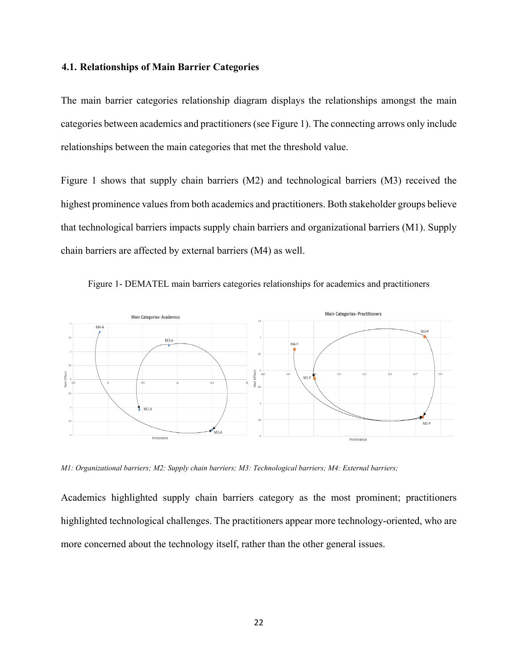### **4.1. Relationships of Main Barrier Categories**

The main barrier categories relationship diagram displays the relationships amongst the main categories between academics and practitioners (see Figure 1). The connecting arrows only include relationships between the main categories that met the threshold value.

Figure 1 shows that supply chain barriers (M2) and technological barriers (M3) received the highest prominence values from both academics and practitioners. Both stakeholder groups believe that technological barriers impacts supply chain barriers and organizational barriers (M1). Supply chain barriers are affected by external barriers (M4) as well.



Figure 1- DEMATEL main barriers categories relationships for academics and practitioners

*M1: Organizational barriers; M2: Supply chain barriers; M3: Technological barriers; M4: External barriers;*

Academics highlighted supply chain barriers category as the most prominent; practitioners highlighted technological challenges. The practitioners appear more technology-oriented, who are more concerned about the technology itself, rather than the other general issues.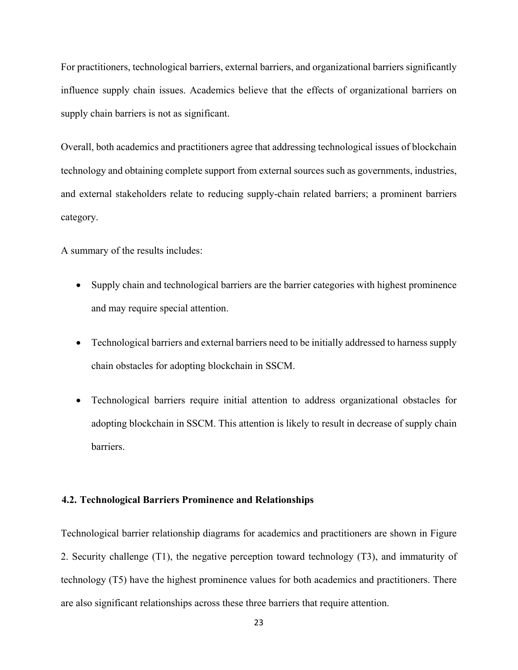For practitioners, technological barriers, external barriers, and organizational barriers significantly influence supply chain issues. Academics believe that the effects of organizational barriers on supply chain barriers is not as significant.

Overall, both academics and practitioners agree that addressing technological issues of blockchain technology and obtaining complete support from external sources such as governments, industries, and external stakeholders relate to reducing supply-chain related barriers; a prominent barriers category.

A summary of the results includes:

- Supply chain and technological barriers are the barrier categories with highest prominence and may require special attention.
- Technological barriers and external barriers need to be initially addressed to harness supply chain obstacles for adopting blockchain in SSCM.
- Technological barriers require initial attention to address organizational obstacles for adopting blockchain in SSCM. This attention is likely to result in decrease of supply chain barriers.

### **4.2. Technological Barriers Prominence and Relationships**

Technological barrier relationship diagrams for academics and practitioners are shown in Figure 2. Security challenge (T1), the negative perception toward technology (T3), and immaturity of technology (T5) have the highest prominence values for both academics and practitioners. There are also significant relationships across these three barriers that require attention.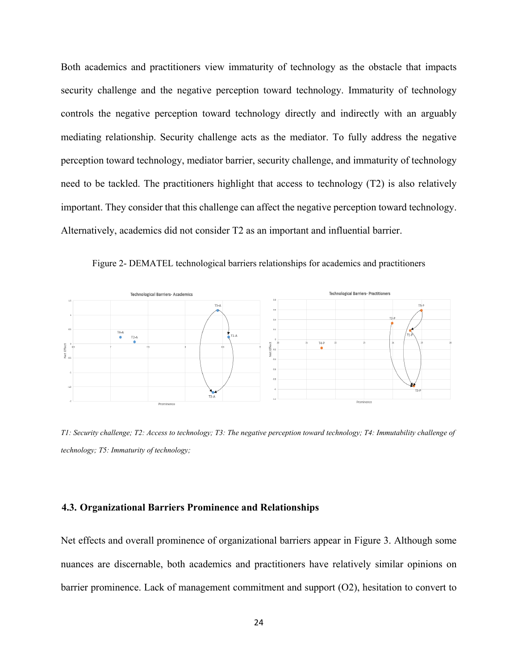Both academics and practitioners view immaturity of technology as the obstacle that impacts security challenge and the negative perception toward technology. Immaturity of technology controls the negative perception toward technology directly and indirectly with an arguably mediating relationship. Security challenge acts as the mediator. To fully address the negative perception toward technology, mediator barrier, security challenge, and immaturity of technology need to be tackled. The practitioners highlight that access to technology (T2) is also relatively important. They consider that this challenge can affect the negative perception toward technology. Alternatively, academics did not consider T2 as an important and influential barrier.





*T1: Security challenge; T2: Access to technology; T3: The negative perception toward technology; T4: Immutability challenge of technology; T5: Immaturity of technology;*

#### **4.3. Organizational Barriers Prominence and Relationships**

Net effects and overall prominence of organizational barriers appear in Figure 3. Although some nuances are discernable, both academics and practitioners have relatively similar opinions on barrier prominence. Lack of management commitment and support (O2), hesitation to convert to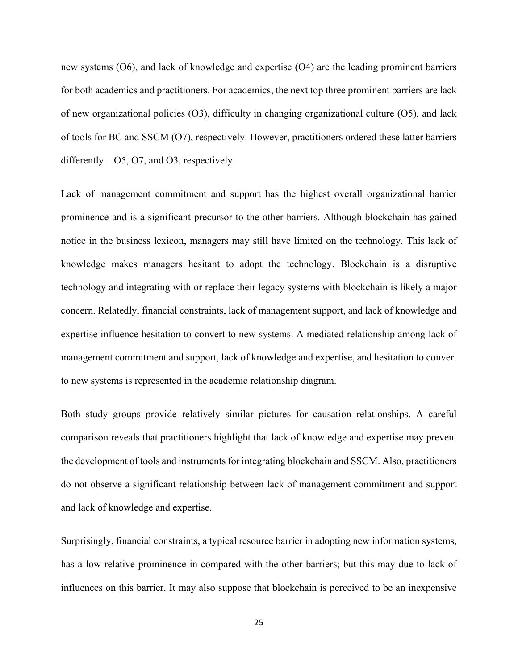new systems (O6), and lack of knowledge and expertise (O4) are the leading prominent barriers for both academics and practitioners. For academics, the next top three prominent barriers are lack of new organizational policies (O3), difficulty in changing organizational culture (O5), and lack of tools for BC and SSCM (O7), respectively. However, practitioners ordered these latter barriers differently  $-$  O5, O7, and O3, respectively.

Lack of management commitment and support has the highest overall organizational barrier prominence and is a significant precursor to the other barriers. Although blockchain has gained notice in the business lexicon, managers may still have limited on the technology. This lack of knowledge makes managers hesitant to adopt the technology. Blockchain is a disruptive technology and integrating with or replace their legacy systems with blockchain is likely a major concern. Relatedly, financial constraints, lack of management support, and lack of knowledge and expertise influence hesitation to convert to new systems. A mediated relationship among lack of management commitment and support, lack of knowledge and expertise, and hesitation to convert to new systems is represented in the academic relationship diagram.

Both study groups provide relatively similar pictures for causation relationships. A careful comparison reveals that practitioners highlight that lack of knowledge and expertise may prevent the development of tools and instruments for integrating blockchain and SSCM. Also, practitioners do not observe a significant relationship between lack of management commitment and support and lack of knowledge and expertise.

Surprisingly, financial constraints, a typical resource barrier in adopting new information systems, has a low relative prominence in compared with the other barriers; but this may due to lack of influences on this barrier. It may also suppose that blockchain is perceived to be an inexpensive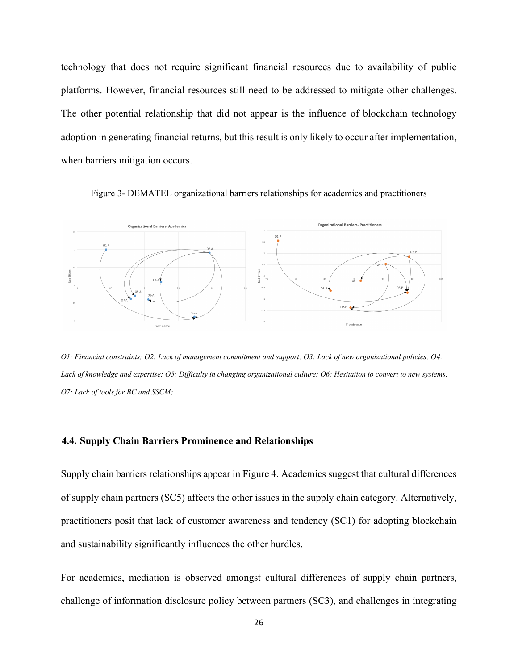technology that does not require significant financial resources due to availability of public platforms. However, financial resources still need to be addressed to mitigate other challenges. The other potential relationship that did not appear is the influence of blockchain technology adoption in generating financial returns, but this result is only likely to occur after implementation, when barriers mitigation occurs.





*O1: Financial constraints; O2: Lack of management commitment and support; O3: Lack of new organizational policies; O4: Lack of knowledge and expertise; O5: Difficulty in changing organizational culture; O6: Hesitation to convert to new systems; O7: Lack of tools for BC and SSCM;* 

#### **4.4. Supply Chain Barriers Prominence and Relationships**

Supply chain barriers relationships appear in Figure 4. Academics suggest that cultural differences of supply chain partners (SC5) affects the other issues in the supply chain category. Alternatively, practitioners posit that lack of customer awareness and tendency (SC1) for adopting blockchain and sustainability significantly influences the other hurdles.

For academics, mediation is observed amongst cultural differences of supply chain partners, challenge of information disclosure policy between partners (SC3), and challenges in integrating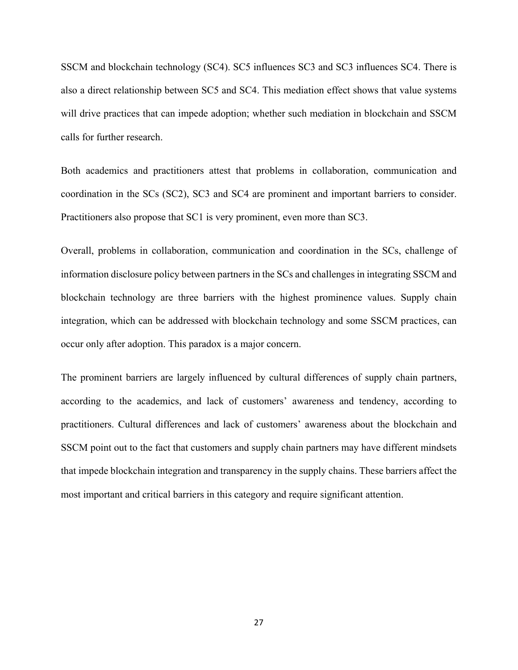SSCM and blockchain technology (SC4). SC5 influences SC3 and SC3 influences SC4. There is also a direct relationship between SC5 and SC4. This mediation effect shows that value systems will drive practices that can impede adoption; whether such mediation in blockchain and SSCM calls for further research.

Both academics and practitioners attest that problems in collaboration, communication and coordination in the SCs (SC2), SC3 and SC4 are prominent and important barriers to consider. Practitioners also propose that SC1 is very prominent, even more than SC3.

Overall, problems in collaboration, communication and coordination in the SCs, challenge of information disclosure policy between partners in the SCs and challenges in integrating SSCM and blockchain technology are three barriers with the highest prominence values. Supply chain integration, which can be addressed with blockchain technology and some SSCM practices, can occur only after adoption. This paradox is a major concern.

The prominent barriers are largely influenced by cultural differences of supply chain partners, according to the academics, and lack of customers' awareness and tendency, according to practitioners. Cultural differences and lack of customers' awareness about the blockchain and SSCM point out to the fact that customers and supply chain partners may have different mindsets that impede blockchain integration and transparency in the supply chains. These barriers affect the most important and critical barriers in this category and require significant attention.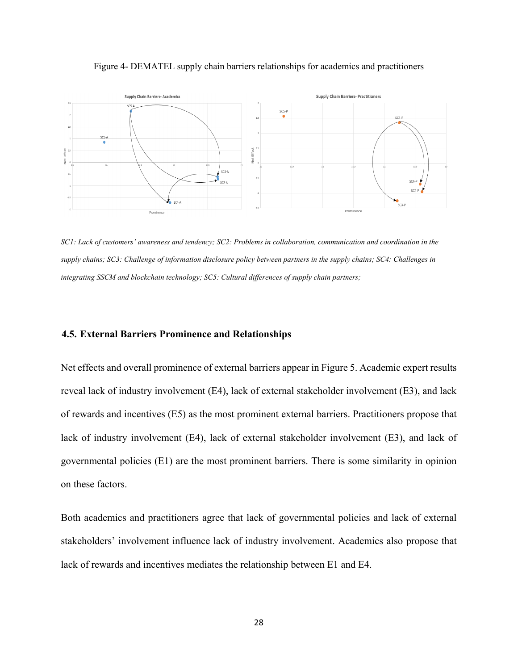



*SC1: Lack of customers' awareness and tendency; SC2: Problems in collaboration, communication and coordination in the supply chains; SC3: Challenge of information disclosure policy between partners in the supply chains; SC4: Challenges in integrating SSCM and blockchain technology; SC5: Cultural differences of supply chain partners;*

## **4.5. External Barriers Prominence and Relationships**

Net effects and overall prominence of external barriers appear in Figure 5. Academic expert results reveal lack of industry involvement (E4), lack of external stakeholder involvement (E3), and lack of rewards and incentives (E5) as the most prominent external barriers. Practitioners propose that lack of industry involvement (E4), lack of external stakeholder involvement (E3), and lack of governmental policies (E1) are the most prominent barriers. There is some similarity in opinion on these factors.

Both academics and practitioners agree that lack of governmental policies and lack of external stakeholders' involvement influence lack of industry involvement. Academics also propose that lack of rewards and incentives mediates the relationship between E1 and E4.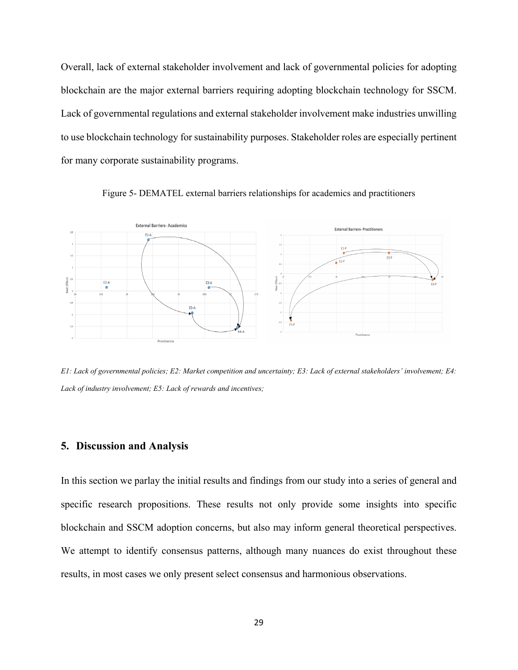Overall, lack of external stakeholder involvement and lack of governmental policies for adopting blockchain are the major external barriers requiring adopting blockchain technology for SSCM. Lack of governmental regulations and external stakeholder involvement make industries unwilling to use blockchain technology for sustainability purposes. Stakeholder roles are especially pertinent for many corporate sustainability programs.



Figure 5- DEMATEL external barriers relationships for academics and practitioners

*E1: Lack of governmental policies; E2: Market competition and uncertainty; E3: Lack of external stakeholders' involvement; E4: Lack of industry involvement; E5: Lack of rewards and incentives;*

# **5. Discussion and Analysis**

In this section we parlay the initial results and findings from our study into a series of general and specific research propositions. These results not only provide some insights into specific blockchain and SSCM adoption concerns, but also may inform general theoretical perspectives. We attempt to identify consensus patterns, although many nuances do exist throughout these results, in most cases we only present select consensus and harmonious observations.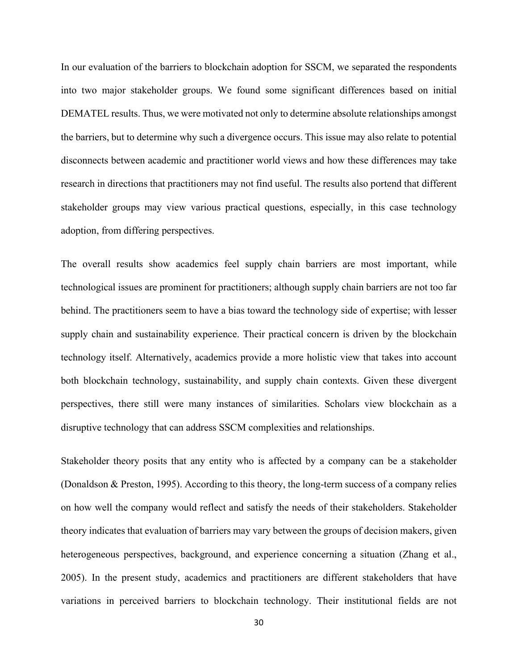In our evaluation of the barriers to blockchain adoption for SSCM, we separated the respondents into two major stakeholder groups. We found some significant differences based on initial DEMATEL results. Thus, we were motivated not only to determine absolute relationships amongst the barriers, but to determine why such a divergence occurs. This issue may also relate to potential disconnects between academic and practitioner world views and how these differences may take research in directions that practitioners may not find useful. The results also portend that different stakeholder groups may view various practical questions, especially, in this case technology adoption, from differing perspectives.

The overall results show academics feel supply chain barriers are most important, while technological issues are prominent for practitioners; although supply chain barriers are not too far behind. The practitioners seem to have a bias toward the technology side of expertise; with lesser supply chain and sustainability experience. Their practical concern is driven by the blockchain technology itself. Alternatively, academics provide a more holistic view that takes into account both blockchain technology, sustainability, and supply chain contexts. Given these divergent perspectives, there still were many instances of similarities. Scholars view blockchain as a disruptive technology that can address SSCM complexities and relationships.

Stakeholder theory posits that any entity who is affected by a company can be a stakeholder (Donaldson & Preston, 1995). According to this theory, the long-term success of a company relies on how well the company would reflect and satisfy the needs of their stakeholders. Stakeholder theory indicates that evaluation of barriers may vary between the groups of decision makers, given heterogeneous perspectives, background, and experience concerning a situation (Zhang et al., 2005). In the present study, academics and practitioners are different stakeholders that have variations in perceived barriers to blockchain technology. Their institutional fields are not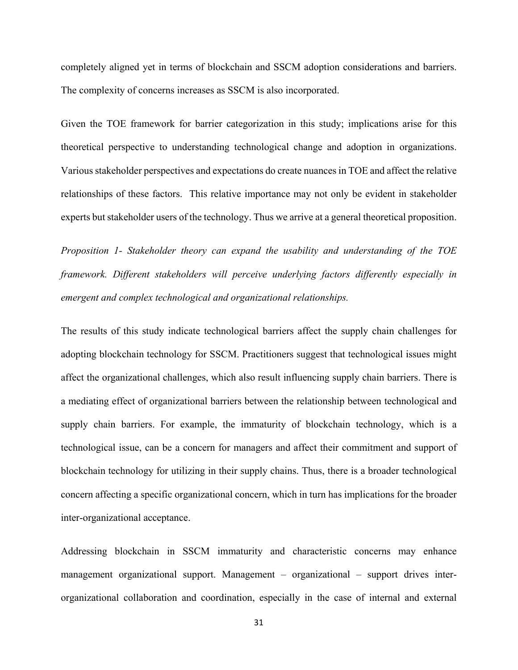completely aligned yet in terms of blockchain and SSCM adoption considerations and barriers. The complexity of concerns increases as SSCM is also incorporated.

Given the TOE framework for barrier categorization in this study; implications arise for this theoretical perspective to understanding technological change and adoption in organizations. Various stakeholder perspectives and expectations do create nuances in TOE and affect the relative relationships of these factors. This relative importance may not only be evident in stakeholder experts but stakeholder users of the technology. Thus we arrive at a general theoretical proposition.

*Proposition 1- Stakeholder theory can expand the usability and understanding of the TOE framework. Different stakeholders will perceive underlying factors differently especially in emergent and complex technological and organizational relationships.* 

The results of this study indicate technological barriers affect the supply chain challenges for adopting blockchain technology for SSCM. Practitioners suggest that technological issues might affect the organizational challenges, which also result influencing supply chain barriers. There is a mediating effect of organizational barriers between the relationship between technological and supply chain barriers. For example, the immaturity of blockchain technology, which is a technological issue, can be a concern for managers and affect their commitment and support of blockchain technology for utilizing in their supply chains. Thus, there is a broader technological concern affecting a specific organizational concern, which in turn has implications for the broader inter-organizational acceptance.

Addressing blockchain in SSCM immaturity and characteristic concerns may enhance management organizational support. Management – organizational – support drives interorganizational collaboration and coordination, especially in the case of internal and external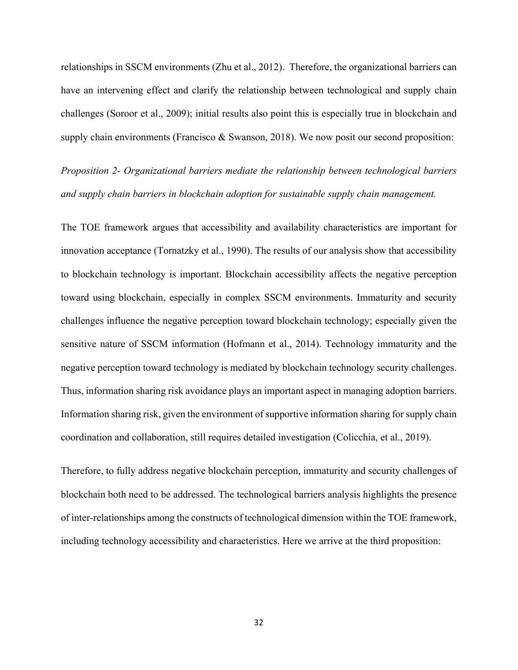relationships in SSCM environments (Zhu et al., 2012). Therefore, the organizational barriers can have an intervening effect and clarify the relationship between technological and supply chain challenges (Soroor et al., 2009); initial results also point this is especially true in blockchain and supply chain environments (Francisco & Swanson, 2018). We now posit our second proposition:

*Proposition 2- Organizational barriers mediate the relationship between technological barriers and supply chain barriers in blockchain adoption for sustainable supply chain management.*

The TOE framework argues that accessibility and availability characteristics are important for innovation acceptance (Tornatzky et al., 1990). The results of our analysis show that accessibility to blockchain technology is important. Blockchain accessibility affects the negative perception toward using blockchain, especially in complex SSCM environments. Immaturity and security challenges influence the negative perception toward blockchain technology; especially given the sensitive nature of SSCM information (Hofmann et al., 2014). Technology immaturity and the negative perception toward technology is mediated by blockchain technology security challenges. Thus, information sharing risk avoidance plays an important aspect in managing adoption barriers. Information sharing risk, given the environment of supportive information sharing for supply chain coordination and collaboration, still requires detailed investigation (Colicchia, et al., 2019).

Therefore, to fully address negative blockchain perception, immaturity and security challenges of blockchain both need to be addressed. The technological barriers analysis highlights the presence of inter-relationships among the constructs of technological dimension within the TOE framework, including technology accessibility and characteristics. Here we arrive at the third proposition: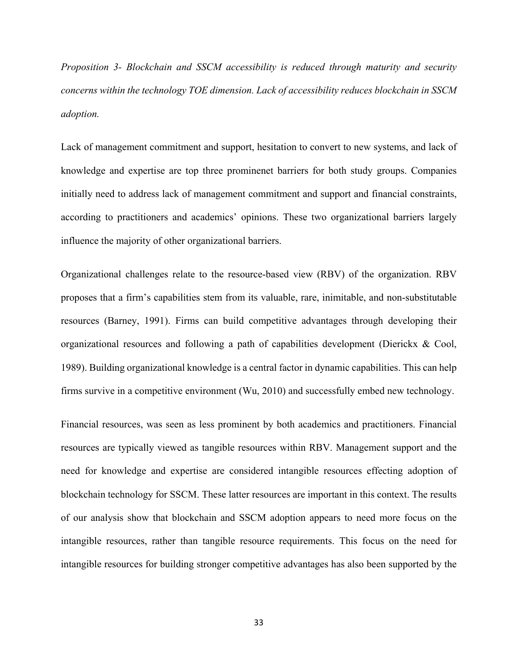*Proposition 3- Blockchain and SSCM accessibility is reduced through maturity and security concerns within the technology TOE dimension. Lack of accessibility reduces blockchain in SSCM adoption.*

Lack of management commitment and support, hesitation to convert to new systems, and lack of knowledge and expertise are top three prominenet barriers for both study groups. Companies initially need to address lack of management commitment and support and financial constraints, according to practitioners and academics' opinions. These two organizational barriers largely influence the majority of other organizational barriers.

Organizational challenges relate to the resource-based view (RBV) of the organization. RBV proposes that a firm's capabilities stem from its valuable, rare, inimitable, and non-substitutable resources (Barney, 1991). Firms can build competitive advantages through developing their organizational resources and following a path of capabilities development (Dierickx & Cool, 1989). Building organizational knowledge is a central factor in dynamic capabilities. This can help firms survive in a competitive environment (Wu, 2010) and successfully embed new technology.

Financial resources, was seen as less prominent by both academics and practitioners. Financial resources are typically viewed as tangible resources within RBV. Management support and the need for knowledge and expertise are considered intangible resources effecting adoption of blockchain technology for SSCM. These latter resources are important in this context. The results of our analysis show that blockchain and SSCM adoption appears to need more focus on the intangible resources, rather than tangible resource requirements. This focus on the need for intangible resources for building stronger competitive advantages has also been supported by the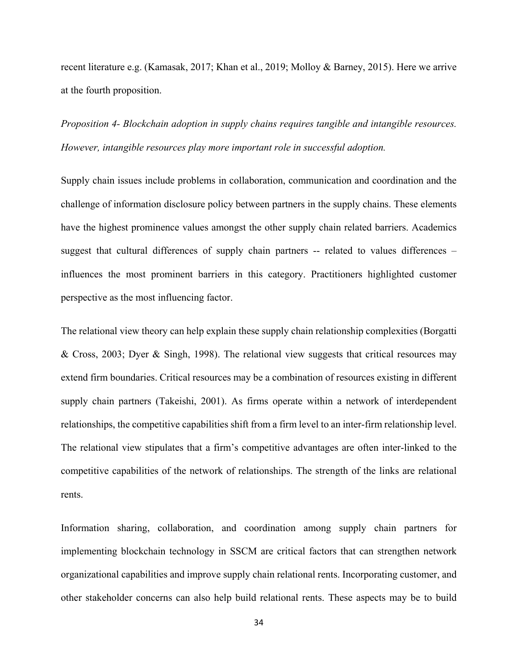recent literature e.g. (Kamasak, 2017; Khan et al., 2019; Molloy & Barney, 2015). Here we arrive at the fourth proposition.

*Proposition 4- Blockchain adoption in supply chains requires tangible and intangible resources. However, intangible resources play more important role in successful adoption.*

Supply chain issues include problems in collaboration, communication and coordination and the challenge of information disclosure policy between partners in the supply chains. These elements have the highest prominence values amongst the other supply chain related barriers. Academics suggest that cultural differences of supply chain partners -- related to values differences – influences the most prominent barriers in this category. Practitioners highlighted customer perspective as the most influencing factor.

The relational view theory can help explain these supply chain relationship complexities (Borgatti & Cross, 2003; Dyer & Singh, 1998). The relational view suggests that critical resources may extend firm boundaries. Critical resources may be a combination of resources existing in different supply chain partners (Takeishi, 2001). As firms operate within a network of interdependent relationships, the competitive capabilities shift from a firm level to an inter-firm relationship level. The relational view stipulates that a firm's competitive advantages are often inter-linked to the competitive capabilities of the network of relationships. The strength of the links are relational rents.

Information sharing, collaboration, and coordination among supply chain partners for implementing blockchain technology in SSCM are critical factors that can strengthen network organizational capabilities and improve supply chain relational rents. Incorporating customer, and other stakeholder concerns can also help build relational rents. These aspects may be to build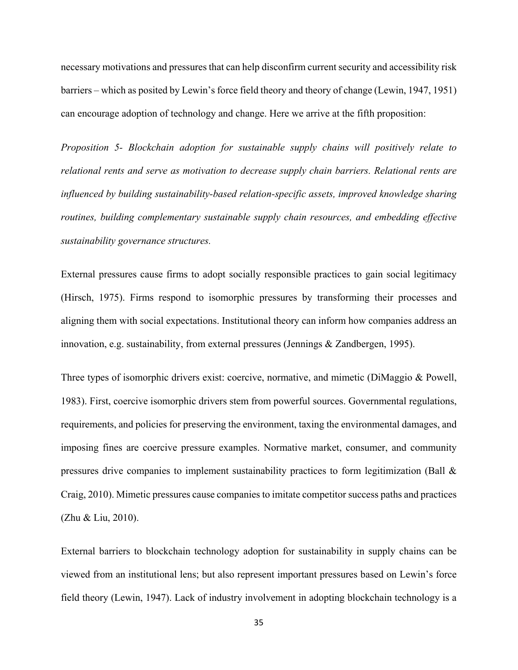necessary motivations and pressures that can help disconfirm current security and accessibility risk barriers – which as posited by Lewin's force field theory and theory of change (Lewin, 1947, 1951) can encourage adoption of technology and change. Here we arrive at the fifth proposition:

*Proposition 5- Blockchain adoption for sustainable supply chains will positively relate to relational rents and serve as motivation to decrease supply chain barriers. Relational rents are influenced by building sustainability-based relation-specific assets, improved knowledge sharing routines, building complementary sustainable supply chain resources, and embedding effective sustainability governance structures.*

External pressures cause firms to adopt socially responsible practices to gain social legitimacy (Hirsch, 1975). Firms respond to isomorphic pressures by transforming their processes and aligning them with social expectations. Institutional theory can inform how companies address an innovation, e.g. sustainability, from external pressures (Jennings & Zandbergen, 1995).

Three types of isomorphic drivers exist: coercive, normative, and mimetic (DiMaggio & Powell, 1983). First, coercive isomorphic drivers stem from powerful sources. Governmental regulations, requirements, and policies for preserving the environment, taxing the environmental damages, and imposing fines are coercive pressure examples. Normative market, consumer, and community pressures drive companies to implement sustainability practices to form legitimization (Ball & Craig, 2010). Mimetic pressures cause companies to imitate competitor success paths and practices (Zhu & Liu, 2010).

External barriers to blockchain technology adoption for sustainability in supply chains can be viewed from an institutional lens; but also represent important pressures based on Lewin's force field theory (Lewin, 1947). Lack of industry involvement in adopting blockchain technology is a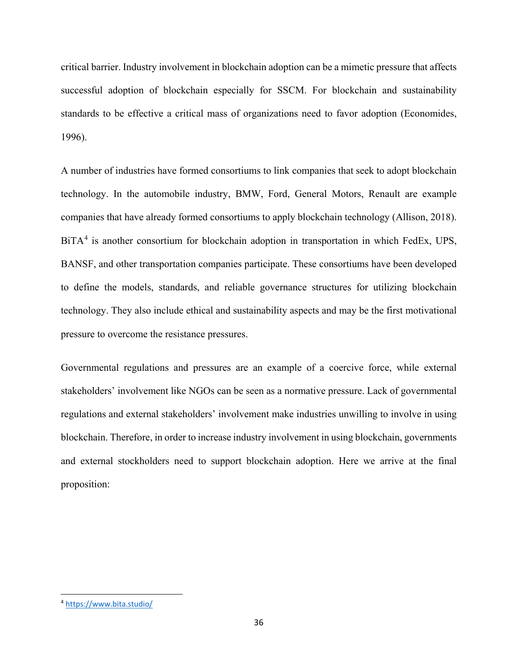critical barrier. Industry involvement in blockchain adoption can be a mimetic pressure that affects successful adoption of blockchain especially for SSCM. For blockchain and sustainability standards to be effective a critical mass of organizations need to favor adoption (Economides, 1996).

A number of industries have formed consortiums to link companies that seek to adopt blockchain technology. In the automobile industry, BMW, Ford, General Motors, Renault are example companies that have already formed consortiums to apply blockchain technology (Allison, 2018). BiTA<sup>[4](#page-35-0)</sup> is another consortium for blockchain adoption in transportation in which FedEx, UPS, BANSF, and other transportation companies participate. These consortiums have been developed to define the models, standards, and reliable governance structures for utilizing blockchain technology. They also include ethical and sustainability aspects and may be the first motivational pressure to overcome the resistance pressures.

Governmental regulations and pressures are an example of a coercive force, while external stakeholders' involvement like NGOs can be seen as a normative pressure. Lack of governmental regulations and external stakeholders' involvement make industries unwilling to involve in using blockchain. Therefore, in order to increase industry involvement in using blockchain, governments and external stockholders need to support blockchain adoption. Here we arrive at the final proposition:

<span id="page-35-0"></span> <sup>4</sup> <https://www.bita.studio/>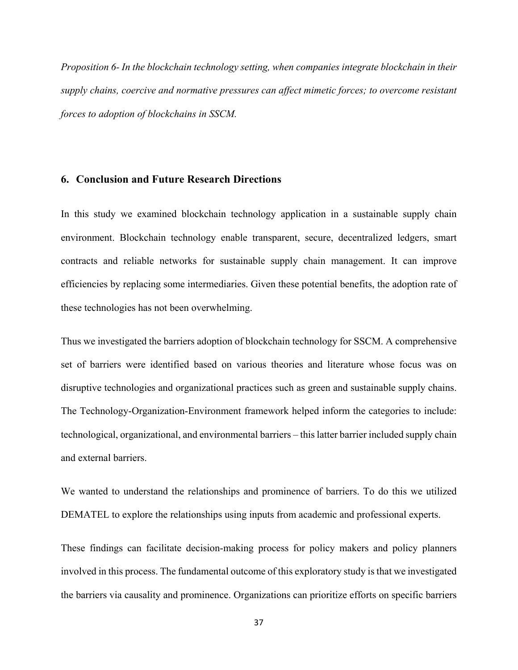*Proposition 6- In the blockchain technology setting, when companies integrate blockchain in their supply chains, coercive and normative pressures can affect mimetic forces; to overcome resistant forces to adoption of blockchains in SSCM.* 

# **6. Conclusion and Future Research Directions**

In this study we examined blockchain technology application in a sustainable supply chain environment. Blockchain technology enable transparent, secure, decentralized ledgers, smart contracts and reliable networks for sustainable supply chain management. It can improve efficiencies by replacing some intermediaries. Given these potential benefits, the adoption rate of these technologies has not been overwhelming.

Thus we investigated the barriers adoption of blockchain technology for SSCM. A comprehensive set of barriers were identified based on various theories and literature whose focus was on disruptive technologies and organizational practices such as green and sustainable supply chains. The Technology-Organization-Environment framework helped inform the categories to include: technological, organizational, and environmental barriers – this latter barrier included supply chain and external barriers.

We wanted to understand the relationships and prominence of barriers. To do this we utilized DEMATEL to explore the relationships using inputs from academic and professional experts.

These findings can facilitate decision-making process for policy makers and policy planners involved in this process. The fundamental outcome of this exploratory study is that we investigated the barriers via causality and prominence. Organizations can prioritize efforts on specific barriers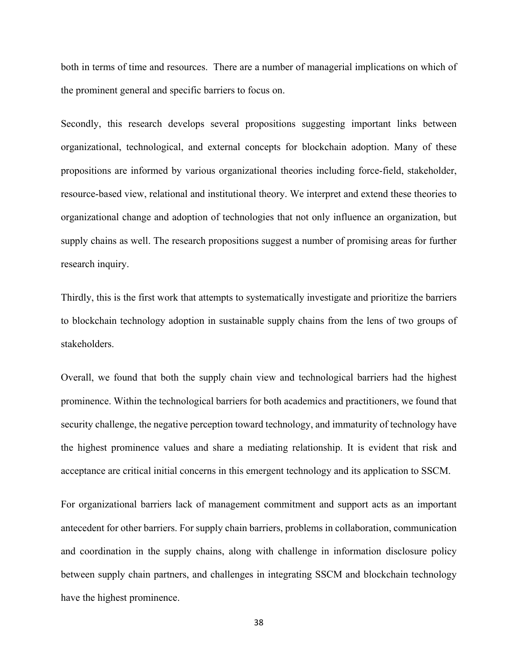both in terms of time and resources. There are a number of managerial implications on which of the prominent general and specific barriers to focus on.

Secondly, this research develops several propositions suggesting important links between organizational, technological, and external concepts for blockchain adoption. Many of these propositions are informed by various organizational theories including force-field, stakeholder, resource-based view, relational and institutional theory. We interpret and extend these theories to organizational change and adoption of technologies that not only influence an organization, but supply chains as well. The research propositions suggest a number of promising areas for further research inquiry.

Thirdly, this is the first work that attempts to systematically investigate and prioritize the barriers to blockchain technology adoption in sustainable supply chains from the lens of two groups of stakeholders.

Overall, we found that both the supply chain view and technological barriers had the highest prominence. Within the technological barriers for both academics and practitioners, we found that security challenge, the negative perception toward technology, and immaturity of technology have the highest prominence values and share a mediating relationship. It is evident that risk and acceptance are critical initial concerns in this emergent technology and its application to SSCM.

For organizational barriers lack of management commitment and support acts as an important antecedent for other barriers. For supply chain barriers, problems in collaboration, communication and coordination in the supply chains, along with challenge in information disclosure policy between supply chain partners, and challenges in integrating SSCM and blockchain technology have the highest prominence.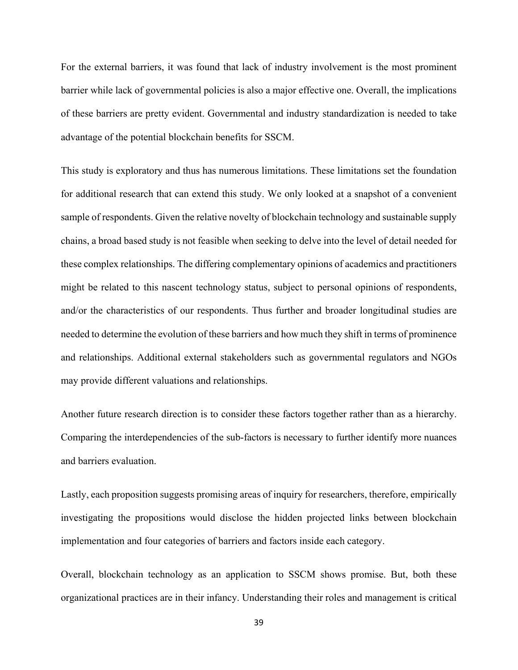For the external barriers, it was found that lack of industry involvement is the most prominent barrier while lack of governmental policies is also a major effective one. Overall, the implications of these barriers are pretty evident. Governmental and industry standardization is needed to take advantage of the potential blockchain benefits for SSCM.

This study is exploratory and thus has numerous limitations. These limitations set the foundation for additional research that can extend this study. We only looked at a snapshot of a convenient sample of respondents. Given the relative novelty of blockchain technology and sustainable supply chains, a broad based study is not feasible when seeking to delve into the level of detail needed for these complex relationships. The differing complementary opinions of academics and practitioners might be related to this nascent technology status, subject to personal opinions of respondents, and/or the characteristics of our respondents. Thus further and broader longitudinal studies are needed to determine the evolution of these barriers and how much they shift in terms of prominence and relationships. Additional external stakeholders such as governmental regulators and NGOs may provide different valuations and relationships.

Another future research direction is to consider these factors together rather than as a hierarchy. Comparing the interdependencies of the sub-factors is necessary to further identify more nuances and barriers evaluation.

Lastly, each proposition suggests promising areas of inquiry for researchers, therefore, empirically investigating the propositions would disclose the hidden projected links between blockchain implementation and four categories of barriers and factors inside each category.

Overall, blockchain technology as an application to SSCM shows promise. But, both these organizational practices are in their infancy. Understanding their roles and management is critical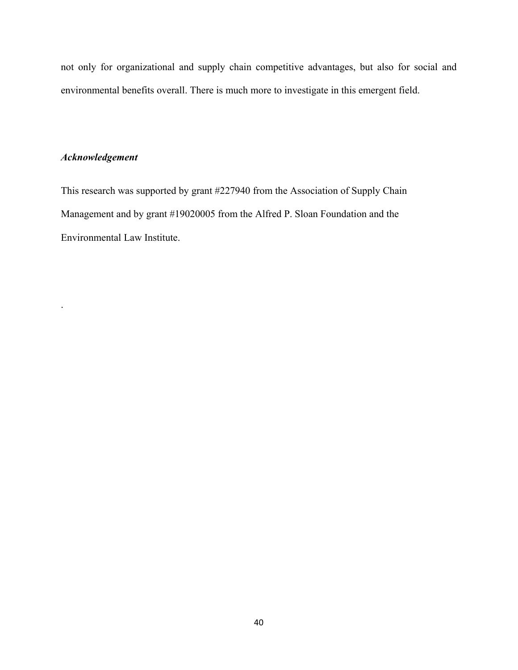not only for organizational and supply chain competitive advantages, but also for social and environmental benefits overall. There is much more to investigate in this emergent field.

# *Acknowledgement*

.

This research was supported by grant #227940 from the Association of Supply Chain Management and by grant #19020005 from the Alfred P. Sloan Foundation and the Environmental Law Institute.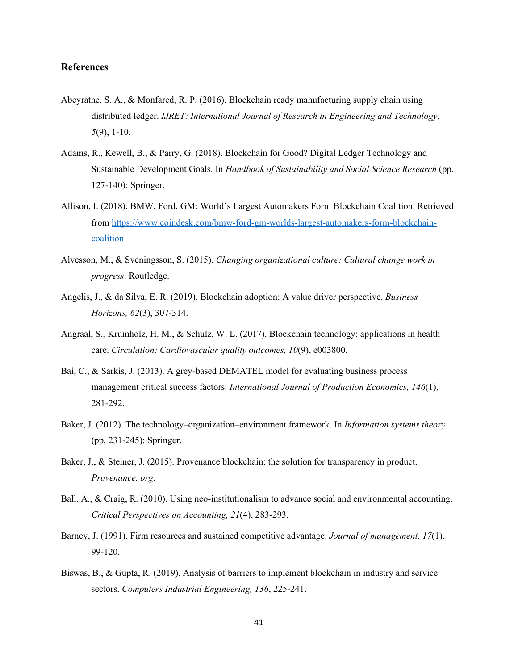# **References**

- Abeyratne, S. A., & Monfared, R. P. (2016). Blockchain ready manufacturing supply chain using distributed ledger. *IJRET: International Journal of Research in Engineering and Technology, 5*(9), 1-10.
- Adams, R., Kewell, B., & Parry, G. (2018). Blockchain for Good? Digital Ledger Technology and Sustainable Development Goals. In *Handbook of Sustainability and Social Science Research* (pp. 127-140): Springer.
- Allison, I. (2018). BMW, Ford, GM: World's Largest Automakers Form Blockchain Coalition. Retrieved from [https://www.coindesk.com/bmw-ford-gm-worlds-largest-automakers-form-blockchain](https://www.coindesk.com/bmw-ford-gm-worlds-largest-automakers-form-blockchain-coalition)[coalition](https://www.coindesk.com/bmw-ford-gm-worlds-largest-automakers-form-blockchain-coalition)
- Alvesson, M., & Sveningsson, S. (2015). *Changing organizational culture: Cultural change work in progress*: Routledge.
- Angelis, J., & da Silva, E. R. (2019). Blockchain adoption: A value driver perspective. *Business Horizons, 62*(3), 307-314.
- Angraal, S., Krumholz, H. M., & Schulz, W. L. (2017). Blockchain technology: applications in health care. *Circulation: Cardiovascular quality outcomes, 10*(9), e003800.
- Bai, C., & Sarkis, J. (2013). A grey-based DEMATEL model for evaluating business process management critical success factors. *International Journal of Production Economics, 146*(1), 281-292.
- Baker, J. (2012). The technology–organization–environment framework. In *Information systems theory* (pp. 231-245): Springer.
- Baker, J., & Steiner, J. (2015). Provenance blockchain: the solution for transparency in product. *Provenance. org*.
- Ball, A., & Craig, R. (2010). Using neo-institutionalism to advance social and environmental accounting. *Critical Perspectives on Accounting, 21*(4), 283-293.
- Barney, J. (1991). Firm resources and sustained competitive advantage. *Journal of management, 17*(1), 99-120.
- Biswas, B., & Gupta, R. (2019). Analysis of barriers to implement blockchain in industry and service sectors. *Computers Industrial Engineering, 136*, 225-241.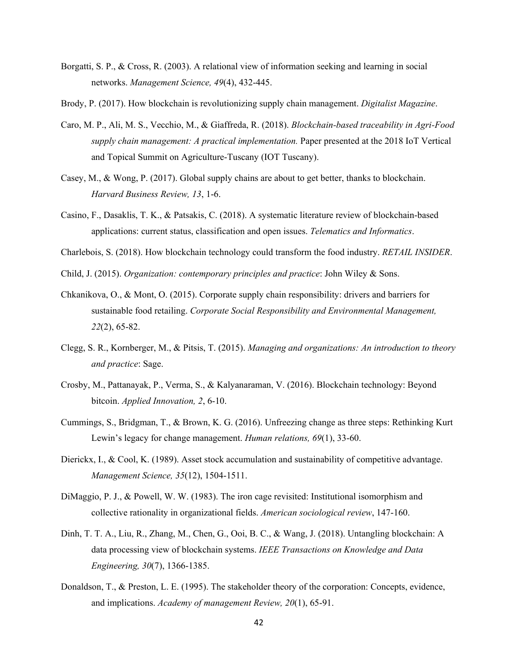- Borgatti, S. P., & Cross, R. (2003). A relational view of information seeking and learning in social networks. *Management Science, 49*(4), 432-445.
- Brody, P. (2017). How blockchain is revolutionizing supply chain management. *Digitalist Magazine*.
- Caro, M. P., Ali, M. S., Vecchio, M., & Giaffreda, R. (2018). *Blockchain-based traceability in Agri-Food supply chain management: A practical implementation.* Paper presented at the 2018 IoT Vertical and Topical Summit on Agriculture-Tuscany (IOT Tuscany).
- Casey, M., & Wong, P. (2017). Global supply chains are about to get better, thanks to blockchain. *Harvard Business Review, 13*, 1-6.
- Casino, F., Dasaklis, T. K., & Patsakis, C. (2018). A systematic literature review of blockchain-based applications: current status, classification and open issues. *Telematics and Informatics*.
- Charlebois, S. (2018). How blockchain technology could transform the food industry. *RETAIL INSIDER*.
- Child, J. (2015). *Organization: contemporary principles and practice*: John Wiley & Sons.
- Chkanikova, O., & Mont, O. (2015). Corporate supply chain responsibility: drivers and barriers for sustainable food retailing. *Corporate Social Responsibility and Environmental Management, 22*(2), 65-82.
- Clegg, S. R., Kornberger, M., & Pitsis, T. (2015). *Managing and organizations: An introduction to theory and practice*: Sage.
- Crosby, M., Pattanayak, P., Verma, S., & Kalyanaraman, V. (2016). Blockchain technology: Beyond bitcoin. *Applied Innovation, 2*, 6-10.
- Cummings, S., Bridgman, T., & Brown, K. G. (2016). Unfreezing change as three steps: Rethinking Kurt Lewin's legacy for change management. *Human relations, 69*(1), 33-60.
- Dierickx, I., & Cool, K. (1989). Asset stock accumulation and sustainability of competitive advantage. *Management Science, 35*(12), 1504-1511.
- DiMaggio, P. J., & Powell, W. W. (1983). The iron cage revisited: Institutional isomorphism and collective rationality in organizational fields. *American sociological review*, 147-160.
- Dinh, T. T. A., Liu, R., Zhang, M., Chen, G., Ooi, B. C., & Wang, J. (2018). Untangling blockchain: A data processing view of blockchain systems. *IEEE Transactions on Knowledge and Data Engineering, 30*(7), 1366-1385.
- Donaldson, T., & Preston, L. E. (1995). The stakeholder theory of the corporation: Concepts, evidence, and implications. *Academy of management Review, 20*(1), 65-91.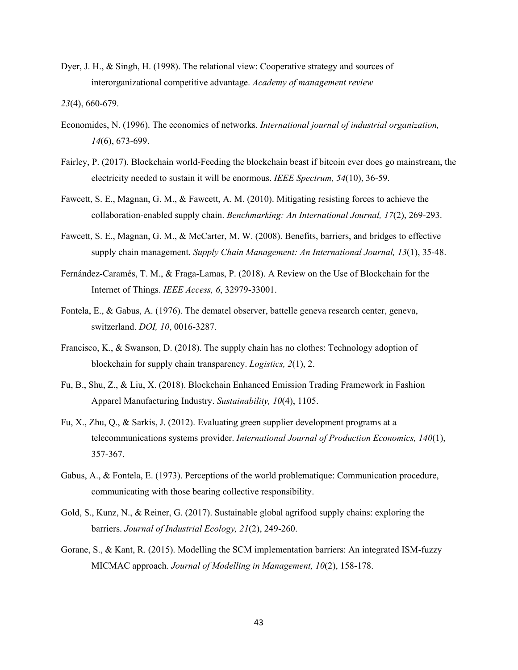Dyer, J. H., & Singh, H. (1998). The relational view: Cooperative strategy and sources of interorganizational competitive advantage. *Academy of management review*

*23*(4), 660-679.

- Economides, N. (1996). The economics of networks. *International journal of industrial organization, 14*(6), 673-699.
- Fairley, P. (2017). Blockchain world-Feeding the blockchain beast if bitcoin ever does go mainstream, the electricity needed to sustain it will be enormous. *IEEE Spectrum, 54*(10), 36-59.
- Fawcett, S. E., Magnan, G. M., & Fawcett, A. M. (2010). Mitigating resisting forces to achieve the collaboration-enabled supply chain. *Benchmarking: An International Journal, 17*(2), 269-293.
- Fawcett, S. E., Magnan, G. M., & McCarter, M. W. (2008). Benefits, barriers, and bridges to effective supply chain management. *Supply Chain Management: An International Journal, 13*(1), 35-48.
- Fernández-Caramés, T. M., & Fraga-Lamas, P. (2018). A Review on the Use of Blockchain for the Internet of Things. *IEEE Access, 6*, 32979-33001.
- Fontela, E., & Gabus, A. (1976). The dematel observer, battelle geneva research center, geneva, switzerland. *DOI, 10*, 0016-3287.
- Francisco, K., & Swanson, D. (2018). The supply chain has no clothes: Technology adoption of blockchain for supply chain transparency. *Logistics, 2*(1), 2.
- Fu, B., Shu, Z., & Liu, X. (2018). Blockchain Enhanced Emission Trading Framework in Fashion Apparel Manufacturing Industry. *Sustainability, 10*(4), 1105.
- Fu, X., Zhu, Q., & Sarkis, J. (2012). Evaluating green supplier development programs at a telecommunications systems provider. *International Journal of Production Economics, 140*(1), 357-367.
- Gabus, A., & Fontela, E. (1973). Perceptions of the world problematique: Communication procedure, communicating with those bearing collective responsibility.
- Gold, S., Kunz, N., & Reiner, G. (2017). Sustainable global agrifood supply chains: exploring the barriers. *Journal of Industrial Ecology, 21*(2), 249-260.
- Gorane, S., & Kant, R. (2015). Modelling the SCM implementation barriers: An integrated ISM-fuzzy MICMAC approach. *Journal of Modelling in Management, 10*(2), 158-178.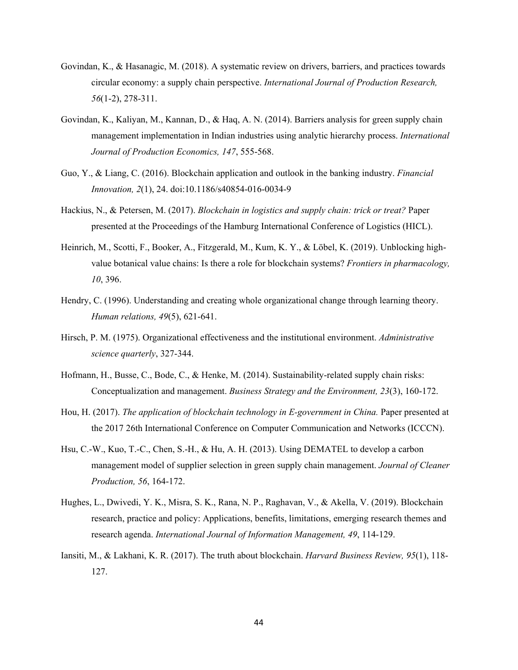- Govindan, K., & Hasanagic, M. (2018). A systematic review on drivers, barriers, and practices towards circular economy: a supply chain perspective. *International Journal of Production Research, 56*(1-2), 278-311.
- Govindan, K., Kaliyan, M., Kannan, D., & Haq, A. N. (2014). Barriers analysis for green supply chain management implementation in Indian industries using analytic hierarchy process. *International Journal of Production Economics, 147*, 555-568.
- Guo, Y., & Liang, C. (2016). Blockchain application and outlook in the banking industry. *Financial Innovation, 2*(1), 24. doi:10.1186/s40854-016-0034-9
- Hackius, N., & Petersen, M. (2017). *Blockchain in logistics and supply chain: trick or treat?* Paper presented at the Proceedings of the Hamburg International Conference of Logistics (HICL).
- Heinrich, M., Scotti, F., Booker, A., Fitzgerald, M., Kum, K. Y., & Löbel, K. (2019). Unblocking highvalue botanical value chains: Is there a role for blockchain systems? *Frontiers in pharmacology, 10*, 396.
- Hendry, C. (1996). Understanding and creating whole organizational change through learning theory. *Human relations, 49*(5), 621-641.
- Hirsch, P. M. (1975). Organizational effectiveness and the institutional environment. *Administrative science quarterly*, 327-344.
- Hofmann, H., Busse, C., Bode, C., & Henke, M. (2014). Sustainability-related supply chain risks: Conceptualization and management. *Business Strategy and the Environment, 23*(3), 160-172.
- Hou, H. (2017). *The application of blockchain technology in E-government in China.* Paper presented at the 2017 26th International Conference on Computer Communication and Networks (ICCCN).
- Hsu, C.-W., Kuo, T.-C., Chen, S.-H., & Hu, A. H. (2013). Using DEMATEL to develop a carbon management model of supplier selection in green supply chain management. *Journal of Cleaner Production, 56*, 164-172.
- Hughes, L., Dwivedi, Y. K., Misra, S. K., Rana, N. P., Raghavan, V., & Akella, V. (2019). Blockchain research, practice and policy: Applications, benefits, limitations, emerging research themes and research agenda. *International Journal of Information Management, 49*, 114-129.
- Iansiti, M., & Lakhani, K. R. (2017). The truth about blockchain. *Harvard Business Review, 95*(1), 118- 127.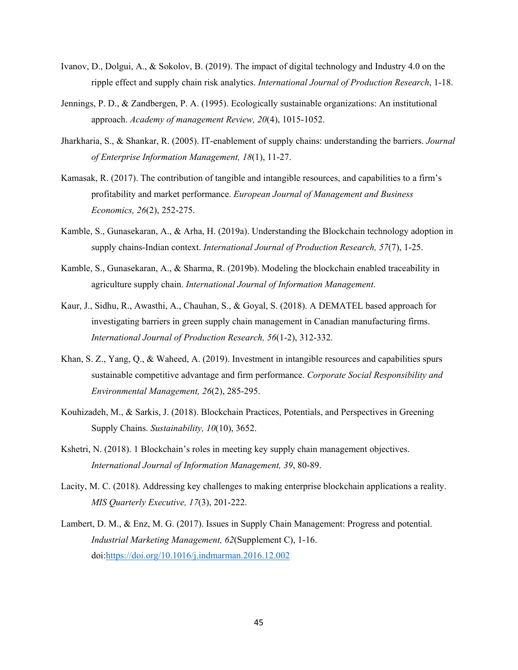- Ivanov, D., Dolgui, A., & Sokolov, B. (2019). The impact of digital technology and Industry 4.0 on the ripple effect and supply chain risk analytics. *International Journal of Production Research*, 1-18.
- Jennings, P. D., & Zandbergen, P. A. (1995). Ecologically sustainable organizations: An institutional approach. *Academy of management Review, 20*(4), 1015-1052.
- Jharkharia, S., & Shankar, R. (2005). IT-enablement of supply chains: understanding the barriers. *Journal of Enterprise Information Management, 18*(1), 11-27.
- Kamasak, R. (2017). The contribution of tangible and intangible resources, and capabilities to a firm's profitability and market performance. *European Journal of Management and Business Economics, 26*(2), 252-275.
- Kamble, S., Gunasekaran, A., & Arha, H. (2019a). Understanding the Blockchain technology adoption in supply chains-Indian context. *International Journal of Production Research, 57*(7), 1-25.
- Kamble, S., Gunasekaran, A., & Sharma, R. (2019b). Modeling the blockchain enabled traceability in agriculture supply chain. *International Journal of Information Management*.
- Kaur, J., Sidhu, R., Awasthi, A., Chauhan, S., & Goyal, S. (2018). A DEMATEL based approach for investigating barriers in green supply chain management in Canadian manufacturing firms. *International Journal of Production Research, 56*(1-2), 312-332.
- Khan, S. Z., Yang, Q., & Waheed, A. (2019). Investment in intangible resources and capabilities spurs sustainable competitive advantage and firm performance. *Corporate Social Responsibility and Environmental Management, 26*(2), 285-295.
- Kouhizadeh, M., & Sarkis, J. (2018). Blockchain Practices, Potentials, and Perspectives in Greening Supply Chains. *Sustainability, 10*(10), 3652.
- Kshetri, N. (2018). 1 Blockchain's roles in meeting key supply chain management objectives. *International Journal of Information Management, 39*, 80-89.
- Lacity, M. C. (2018). Addressing key challenges to making enterprise blockchain applications a reality. *MIS Quarterly Executive, 17*(3), 201-222.
- Lambert, D. M., & Enz, M. G. (2017). Issues in Supply Chain Management: Progress and potential. *Industrial Marketing Management, 62*(Supplement C), 1-16. doi[:https://doi.org/10.1016/j.indmarman.2016.12.002](https://doi.org/10.1016/j.indmarman.2016.12.002)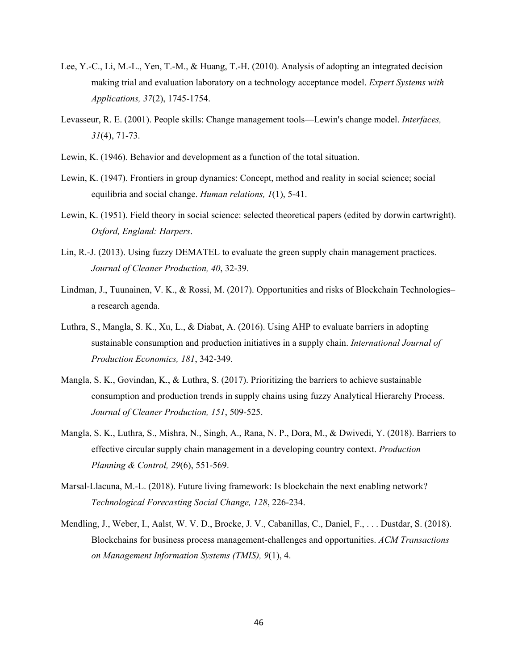- Lee, Y.-C., Li, M.-L., Yen, T.-M., & Huang, T.-H. (2010). Analysis of adopting an integrated decision making trial and evaluation laboratory on a technology acceptance model. *Expert Systems with Applications, 37*(2), 1745-1754.
- Levasseur, R. E. (2001). People skills: Change management tools—Lewin's change model. *Interfaces, 31*(4), 71-73.
- Lewin, K. (1946). Behavior and development as a function of the total situation.
- Lewin, K. (1947). Frontiers in group dynamics: Concept, method and reality in social science; social equilibria and social change. *Human relations, 1*(1), 5-41.
- Lewin, K. (1951). Field theory in social science: selected theoretical papers (edited by dorwin cartwright). *Oxford, England: Harpers*.
- Lin, R.-J. (2013). Using fuzzy DEMATEL to evaluate the green supply chain management practices. *Journal of Cleaner Production, 40*, 32-39.
- Lindman, J., Tuunainen, V. K., & Rossi, M. (2017). Opportunities and risks of Blockchain Technologies– a research agenda.
- Luthra, S., Mangla, S. K., Xu, L., & Diabat, A. (2016). Using AHP to evaluate barriers in adopting sustainable consumption and production initiatives in a supply chain. *International Journal of Production Economics, 181*, 342-349.
- Mangla, S. K., Govindan, K., & Luthra, S. (2017). Prioritizing the barriers to achieve sustainable consumption and production trends in supply chains using fuzzy Analytical Hierarchy Process. *Journal of Cleaner Production, 151*, 509-525.
- Mangla, S. K., Luthra, S., Mishra, N., Singh, A., Rana, N. P., Dora, M., & Dwivedi, Y. (2018). Barriers to effective circular supply chain management in a developing country context. *Production Planning & Control, 29*(6), 551-569.
- Marsal-Llacuna, M.-L. (2018). Future living framework: Is blockchain the next enabling network? *Technological Forecasting Social Change, 128*, 226-234.
- Mendling, J., Weber, I., Aalst, W. V. D., Brocke, J. V., Cabanillas, C., Daniel, F., . . . Dustdar, S. (2018). Blockchains for business process management-challenges and opportunities. *ACM Transactions on Management Information Systems (TMIS), 9*(1), 4.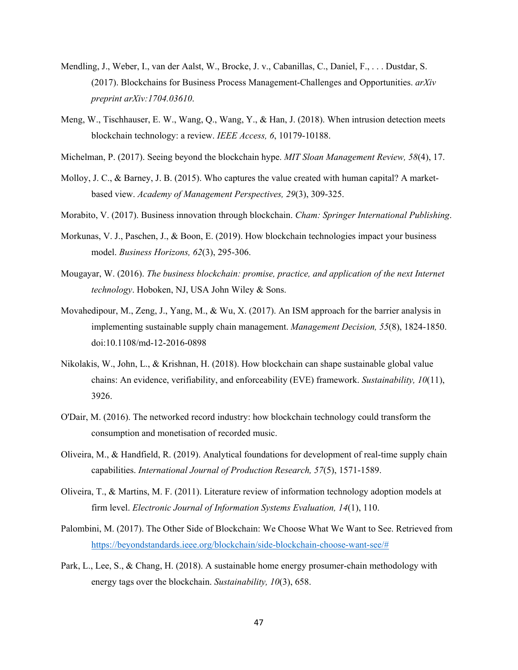- Mendling, J., Weber, I., van der Aalst, W., Brocke, J. v., Cabanillas, C., Daniel, F., . . . Dustdar, S. (2017). Blockchains for Business Process Management-Challenges and Opportunities. *arXiv preprint arXiv:1704.03610*.
- Meng, W., Tischhauser, E. W., Wang, Q., Wang, Y., & Han, J. (2018). When intrusion detection meets blockchain technology: a review. *IEEE Access, 6*, 10179-10188.
- Michelman, P. (2017). Seeing beyond the blockchain hype. *MIT Sloan Management Review, 58*(4), 17.
- Molloy, J. C., & Barney, J. B. (2015). Who captures the value created with human capital? A marketbased view. *Academy of Management Perspectives, 29*(3), 309-325.
- Morabito, V. (2017). Business innovation through blockchain. *Cham: Springer International Publishing*.
- Morkunas, V. J., Paschen, J., & Boon, E. (2019). How blockchain technologies impact your business model. *Business Horizons, 62*(3), 295-306.
- Mougayar, W. (2016). *The business blockchain: promise, practice, and application of the next Internet technology*. Hoboken, NJ, USA John Wiley & Sons.
- Movahedipour, M., Zeng, J., Yang, M., & Wu, X. (2017). An ISM approach for the barrier analysis in implementing sustainable supply chain management. *Management Decision, 55*(8), 1824-1850. doi:10.1108/md-12-2016-0898
- Nikolakis, W., John, L., & Krishnan, H. (2018). How blockchain can shape sustainable global value chains: An evidence, verifiability, and enforceability (EVE) framework. *Sustainability, 10*(11), 3926.
- O'Dair, M. (2016). The networked record industry: how blockchain technology could transform the consumption and monetisation of recorded music.
- Oliveira, M., & Handfield, R. (2019). Analytical foundations for development of real-time supply chain capabilities. *International Journal of Production Research, 57*(5), 1571-1589.
- Oliveira, T., & Martins, M. F. (2011). Literature review of information technology adoption models at firm level. *Electronic Journal of Information Systems Evaluation, 14*(1), 110.
- Palombini, M. (2017). The Other Side of Blockchain: We Choose What We Want to See. Retrieved from [https://beyondstandards.ieee.org/blockchain/side-blockchain-choose-want-see/#](https://beyondstandards.ieee.org/blockchain/side-blockchain-choose-want-see/)
- Park, L., Lee, S., & Chang, H. (2018). A sustainable home energy prosumer-chain methodology with energy tags over the blockchain. *Sustainability, 10*(3), 658.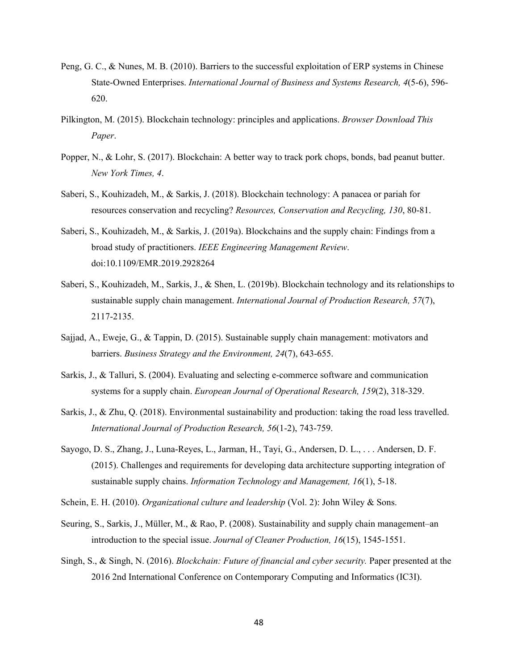- Peng, G. C., & Nunes, M. B. (2010). Barriers to the successful exploitation of ERP systems in Chinese State-Owned Enterprises. *International Journal of Business and Systems Research, 4*(5-6), 596- 620.
- Pilkington, M. (2015). Blockchain technology: principles and applications. *Browser Download This Paper*.
- Popper, N., & Lohr, S. (2017). Blockchain: A better way to track pork chops, bonds, bad peanut butter. *New York Times, 4*.
- Saberi, S., Kouhizadeh, M., & Sarkis, J. (2018). Blockchain technology: A panacea or pariah for resources conservation and recycling? *Resources, Conservation and Recycling, 130*, 80-81.
- Saberi, S., Kouhizadeh, M., & Sarkis, J. (2019a). Blockchains and the supply chain: Findings from a broad study of practitioners. *IEEE Engineering Management Review*. doi:10.1109/EMR.2019.2928264
- Saberi, S., Kouhizadeh, M., Sarkis, J., & Shen, L. (2019b). Blockchain technology and its relationships to sustainable supply chain management. *International Journal of Production Research, 57*(7), 2117-2135.
- Sajjad, A., Eweje, G., & Tappin, D. (2015). Sustainable supply chain management: motivators and barriers. *Business Strategy and the Environment, 24*(7), 643-655.
- Sarkis, J., & Talluri, S. (2004). Evaluating and selecting e-commerce software and communication systems for a supply chain. *European Journal of Operational Research, 159*(2), 318-329.
- Sarkis, J., & Zhu, Q. (2018). Environmental sustainability and production: taking the road less travelled. *International Journal of Production Research, 56*(1-2), 743-759.
- Sayogo, D. S., Zhang, J., Luna-Reyes, L., Jarman, H., Tayi, G., Andersen, D. L., . . . Andersen, D. F. (2015). Challenges and requirements for developing data architecture supporting integration of sustainable supply chains. *Information Technology and Management, 16*(1), 5-18.
- Schein, E. H. (2010). *Organizational culture and leadership* (Vol. 2): John Wiley & Sons.
- Seuring, S., Sarkis, J., Müller, M., & Rao, P. (2008). Sustainability and supply chain management–an introduction to the special issue. *Journal of Cleaner Production, 16*(15), 1545-1551.
- Singh, S., & Singh, N. (2016). *Blockchain: Future of financial and cyber security.* Paper presented at the 2016 2nd International Conference on Contemporary Computing and Informatics (IC3I).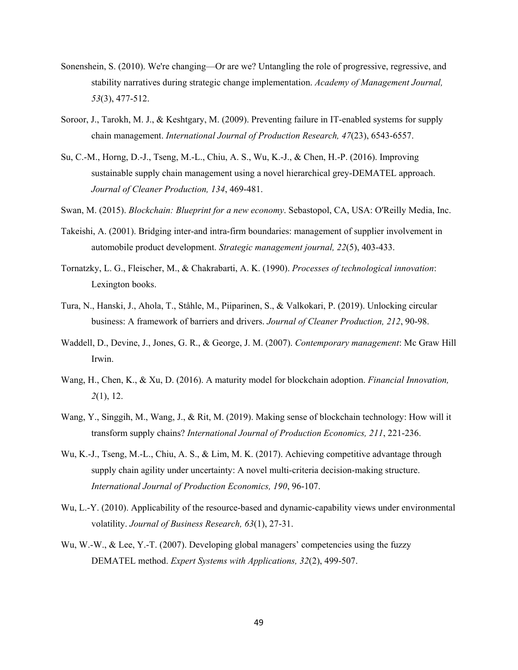- Sonenshein, S. (2010). We're changing—Or are we? Untangling the role of progressive, regressive, and stability narratives during strategic change implementation. *Academy of Management Journal, 53*(3), 477-512.
- Soroor, J., Tarokh, M. J., & Keshtgary, M. (2009). Preventing failure in IT-enabled systems for supply chain management. *International Journal of Production Research, 47*(23), 6543-6557.
- Su, C.-M., Horng, D.-J., Tseng, M.-L., Chiu, A. S., Wu, K.-J., & Chen, H.-P. (2016). Improving sustainable supply chain management using a novel hierarchical grey-DEMATEL approach. *Journal of Cleaner Production, 134*, 469-481.
- Swan, M. (2015). *Blockchain: Blueprint for a new economy*. Sebastopol, CA, USA: O'Reilly Media, Inc.
- Takeishi, A. (2001). Bridging inter-and intra-firm boundaries: management of supplier involvement in automobile product development. *Strategic management journal, 22*(5), 403-433.
- Tornatzky, L. G., Fleischer, M., & Chakrabarti, A. K. (1990). *Processes of technological innovation*: Lexington books.
- Tura, N., Hanski, J., Ahola, T., Ståhle, M., Piiparinen, S., & Valkokari, P. (2019). Unlocking circular business: A framework of barriers and drivers. *Journal of Cleaner Production, 212*, 90-98.
- Waddell, D., Devine, J., Jones, G. R., & George, J. M. (2007). *Contemporary management*: Mc Graw Hill Irwin.
- Wang, H., Chen, K., & Xu, D. (2016). A maturity model for blockchain adoption. *Financial Innovation, 2*(1), 12.
- Wang, Y., Singgih, M., Wang, J., & Rit, M. (2019). Making sense of blockchain technology: How will it transform supply chains? *International Journal of Production Economics, 211*, 221-236.
- Wu, K.-J., Tseng, M.-L., Chiu, A. S., & Lim, M. K. (2017). Achieving competitive advantage through supply chain agility under uncertainty: A novel multi-criteria decision-making structure. *International Journal of Production Economics, 190*, 96-107.
- Wu, L.-Y. (2010). Applicability of the resource-based and dynamic-capability views under environmental volatility. *Journal of Business Research, 63*(1), 27-31.
- Wu, W.-W., & Lee, Y.-T. (2007). Developing global managers' competencies using the fuzzy DEMATEL method. *Expert Systems with Applications, 32*(2), 499-507.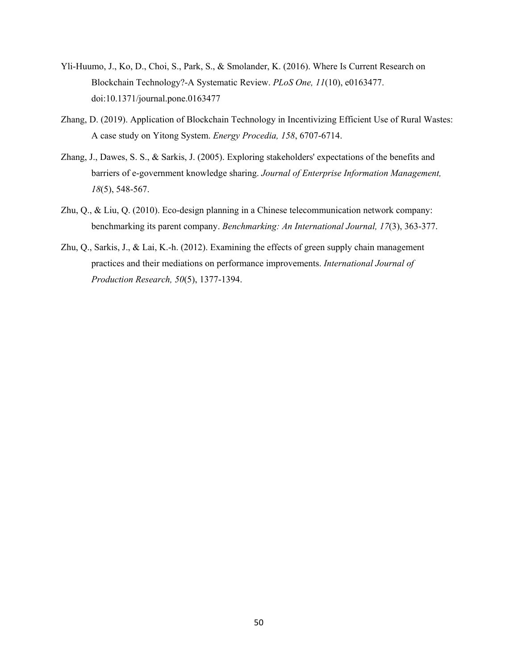- Yli-Huumo, J., Ko, D., Choi, S., Park, S., & Smolander, K. (2016). Where Is Current Research on Blockchain Technology?-A Systematic Review. *PLoS One, 11*(10), e0163477. doi:10.1371/journal.pone.0163477
- Zhang, D. (2019). Application of Blockchain Technology in Incentivizing Efficient Use of Rural Wastes: A case study on Yitong System. *Energy Procedia, 158*, 6707-6714.
- Zhang, J., Dawes, S. S., & Sarkis, J. (2005). Exploring stakeholders' expectations of the benefits and barriers of e-government knowledge sharing. *Journal of Enterprise Information Management, 18*(5), 548-567.
- Zhu, Q., & Liu, Q. (2010). Eco-design planning in a Chinese telecommunication network company: benchmarking its parent company. *Benchmarking: An International Journal, 17*(3), 363-377.
- Zhu, Q., Sarkis, J., & Lai, K.-h. (2012). Examining the effects of green supply chain management practices and their mediations on performance improvements. *International Journal of Production Research, 50*(5), 1377-1394.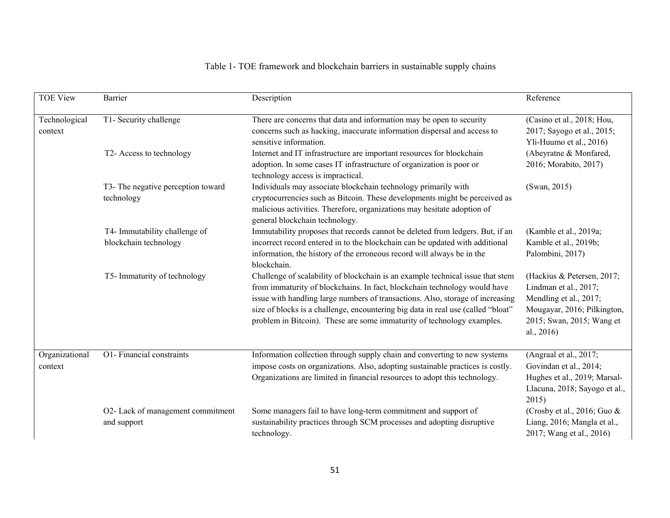# Table 1- TOE framework and blockchain barriers in sustainable supply chains

| <b>TOE View</b>           | <b>Barrier</b>                                         | Description                                                                                                                                                                                                                                                                                                                                                                                                 | Reference                                                                                                                                               |  |  |
|---------------------------|--------------------------------------------------------|-------------------------------------------------------------------------------------------------------------------------------------------------------------------------------------------------------------------------------------------------------------------------------------------------------------------------------------------------------------------------------------------------------------|---------------------------------------------------------------------------------------------------------------------------------------------------------|--|--|
| Technological<br>context  | T1- Security challenge                                 | There are concerns that data and information may be open to security<br>concerns such as hacking, inaccurate information dispersal and access to<br>sensitive information.                                                                                                                                                                                                                                  | (Casino et al., 2018; Hou,<br>2017; Sayogo et al., 2015;<br>Yli-Huumo et al., 2016)                                                                     |  |  |
|                           | T2- Access to technology                               | Internet and IT infrastructure are important resources for blockchain<br>adoption. In some cases IT infrastructure of organization is poor or<br>technology access is impractical.                                                                                                                                                                                                                          | (Abeyratne & Monfared,<br>2016; Morabito, 2017)                                                                                                         |  |  |
|                           | T3- The negative perception toward<br>technology       | Individuals may associate blockchain technology primarily with<br>cryptocurrencies such as Bitcoin. These developments might be perceived as<br>malicious activities. Therefore, organizations may hesitate adoption of<br>general blockchain technology.                                                                                                                                                   | (Swan, 2015)                                                                                                                                            |  |  |
|                           | T4- Immutability challenge of<br>blockchain technology | Immutability proposes that records cannot be deleted from ledgers. But, if an<br>incorrect record entered in to the blockchain can be updated with additional<br>information, the history of the erroneous record will always be in the<br>blockchain.                                                                                                                                                      | (Kamble et al., 2019a;<br>Kamble et al., 2019b;<br>Palombini, 2017)                                                                                     |  |  |
|                           | T5- Immaturity of technology                           | Challenge of scalability of blockchain is an example technical issue that stem<br>from immaturity of blockchains. In fact, blockchain technology would have<br>issue with handling large numbers of transactions. Also, storage of increasing<br>size of blocks is a challenge, encountering big data in real use (called "bloat"<br>problem in Bitcoin). These are some immaturity of technology examples. | (Hackius & Petersen, 2017;<br>Lindman et al., 2017;<br>Mendling et al., 2017;<br>Mougayar, 2016; Pilkington,<br>2015; Swan, 2015; Wang et<br>al., 2016) |  |  |
| Organizational<br>context | O1- Financial constraints                              | Information collection through supply chain and converting to new systems<br>impose costs on organizations. Also, adopting sustainable practices is costly.<br>Organizations are limited in financial resources to adopt this technology.                                                                                                                                                                   | (Angraal et al., 2017;<br>Govindan et al., 2014;<br>Hughes et al., 2019; Marsal-<br>Llacuna, 2018; Sayogo et al.,<br>2015)                              |  |  |
|                           | O2- Lack of management commitment<br>and support       | Some managers fail to have long-term commitment and support of<br>sustainability practices through SCM processes and adopting disruptive<br>technology.                                                                                                                                                                                                                                                     | (Crosby et al., 2016; Guo $\&$<br>Liang, 2016; Mangla et al.,<br>2017; Wang et al., 2016)                                                               |  |  |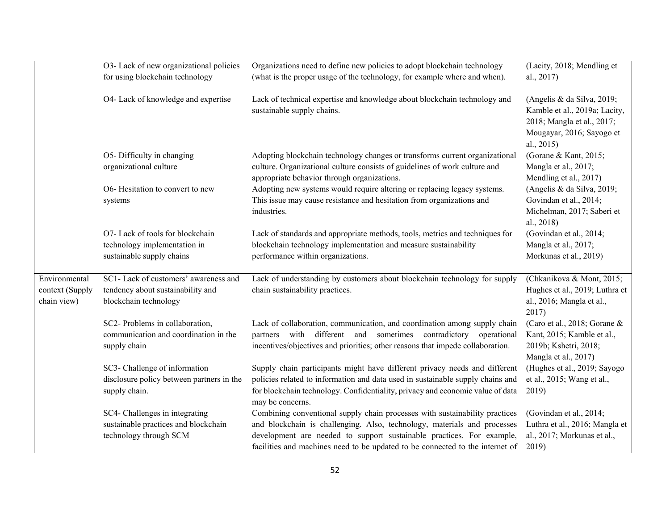|                                                 | O3- Lack of new organizational policies<br>for using blockchain technology                          | Organizations need to define new policies to adopt blockchain technology<br>(what is the proper usage of the technology, for example where and when).                                                                                                                                                             | (Lacity, 2018; Mendling et<br>al., 2017)                                                                                             |
|-------------------------------------------------|-----------------------------------------------------------------------------------------------------|-------------------------------------------------------------------------------------------------------------------------------------------------------------------------------------------------------------------------------------------------------------------------------------------------------------------|--------------------------------------------------------------------------------------------------------------------------------------|
|                                                 | O4- Lack of knowledge and expertise                                                                 | Lack of technical expertise and knowledge about blockchain technology and<br>sustainable supply chains.                                                                                                                                                                                                           | (Angelis & da Silva, 2019;<br>Kamble et al., 2019a; Lacity,<br>2018; Mangla et al., 2017;<br>Mougayar, 2016; Sayogo et<br>al., 2015) |
|                                                 | O5- Difficulty in changing<br>organizational culture                                                | Adopting blockchain technology changes or transforms current organizational<br>culture. Organizational culture consists of guidelines of work culture and<br>appropriate behavior through organizations.                                                                                                          | (Gorane & Kant, 2015;<br>Mangla et al., 2017;<br>Mendling et al., 2017)                                                              |
|                                                 | O6- Hesitation to convert to new<br>systems                                                         | Adopting new systems would require altering or replacing legacy systems.<br>This issue may cause resistance and hesitation from organizations and<br>industries.                                                                                                                                                  | (Angelis & da Silva, 2019;<br>Govindan et al., 2014;<br>Michelman, 2017; Saberi et<br>al., 2018)                                     |
|                                                 | O7- Lack of tools for blockchain<br>technology implementation in<br>sustainable supply chains       | Lack of standards and appropriate methods, tools, metrics and techniques for<br>blockchain technology implementation and measure sustainability<br>performance within organizations.                                                                                                                              | (Govindan et al., 2014;<br>Mangla et al., 2017;<br>Morkunas et al., 2019)                                                            |
| Environmental<br>context (Supply<br>chain view) | SC1- Lack of customers' awareness and<br>tendency about sustainability and<br>blockchain technology | Lack of understanding by customers about blockchain technology for supply<br>chain sustainability practices.                                                                                                                                                                                                      | (Chkanikova & Mont, 2015;<br>Hughes et al., 2019; Luthra et<br>al., 2016; Mangla et al.,<br>2017)                                    |
|                                                 | SC2- Problems in collaboration,<br>communication and coordination in the<br>supply chain            | Lack of collaboration, communication, and coordination among supply chain<br>partners with<br>different and<br>sometimes<br>contradictory operational<br>incentives/objectives and priorities; other reasons that impede collaboration.                                                                           | (Caro et al., 2018; Gorane &<br>Kant, 2015; Kamble et al.,<br>2019b; Kshetri, 2018;<br>Mangla et al., 2017)                          |
|                                                 | SC3- Challenge of information<br>disclosure policy between partners in the<br>supply chain.         | Supply chain participants might have different privacy needs and different<br>policies related to information and data used in sustainable supply chains and<br>for blockchain technology. Confidentiality, privacy and economic value of data<br>may be concerns.                                                | (Hughes et al., 2019; Sayogo<br>et al., 2015; Wang et al.,<br>2019)                                                                  |
|                                                 | SC4- Challenges in integrating<br>sustainable practices and blockchain<br>technology through SCM    | Combining conventional supply chain processes with sustainability practices<br>and blockchain is challenging. Also, technology, materials and processes<br>development are needed to support sustainable practices. For example,<br>facilities and machines need to be updated to be connected to the internet of | (Govindan et al., 2014;<br>Luthra et al., 2016; Mangla et<br>al., 2017; Morkunas et al.,<br>2019)                                    |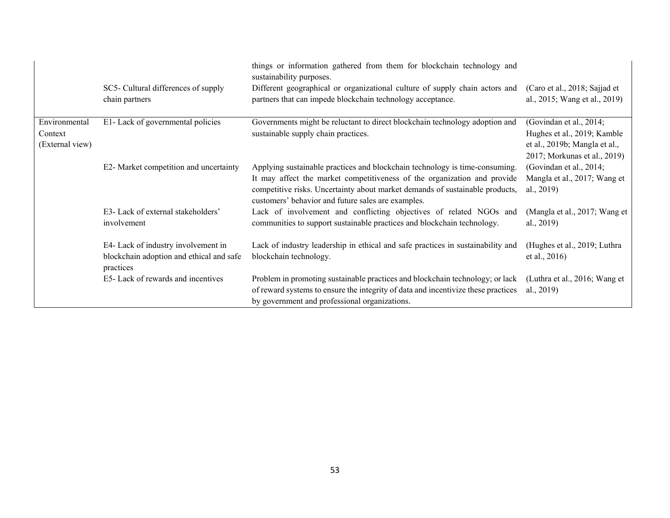|                                             | SC5- Cultural differences of supply<br>chain partners                                        | things or information gathered from them for blockchain technology and<br>sustainability purposes.<br>Different geographical or organizational culture of supply chain actors and<br>partners that can impede blockchain technology acceptance.                                               | (Caro et al., 2018; Sajjad et<br>al., 2015; Wang et al., 2019)                                                          |
|---------------------------------------------|----------------------------------------------------------------------------------------------|-----------------------------------------------------------------------------------------------------------------------------------------------------------------------------------------------------------------------------------------------------------------------------------------------|-------------------------------------------------------------------------------------------------------------------------|
| Environmental<br>Context<br>(External view) | E1- Lack of governmental policies                                                            | Governments might be reluctant to direct blockchain technology adoption and<br>sustainable supply chain practices.                                                                                                                                                                            | (Govindan et al., 2014;<br>Hughes et al., 2019; Kamble<br>et al., 2019b; Mangla et al.,<br>2017; Morkunas et al., 2019) |
|                                             | E2- Market competition and uncertainty                                                       | Applying sustainable practices and blockchain technology is time-consuming.<br>It may affect the market competitiveness of the organization and provide<br>competitive risks. Uncertainty about market demands of sustainable products,<br>customers' behavior and future sales are examples. | (Govindan et al., 2014;<br>Mangla et al., 2017; Wang et<br>al., $2019$ )                                                |
|                                             | E3- Lack of external stakeholders'<br>involvement                                            | Lack of involvement and conflicting objectives of related NGOs and<br>communities to support sustainable practices and blockchain technology.                                                                                                                                                 | (Mangla et al., 2017; Wang et<br>al., $2019$ )                                                                          |
|                                             | E4- Lack of industry involvement in<br>blockchain adoption and ethical and safe<br>practices | Lack of industry leadership in ethical and safe practices in sustainability and<br>blockchain technology.                                                                                                                                                                                     | (Hughes et al., 2019; Luthra<br>et al., 2016)                                                                           |
|                                             | E5-Lack of rewards and incentives                                                            | Problem in promoting sustainable practices and blockchain technology; or lack<br>of reward systems to ensure the integrity of data and incentivize these practices<br>by government and professional organizations.                                                                           | (Luthra et al., 2016; Wang et<br>al., 2019)                                                                             |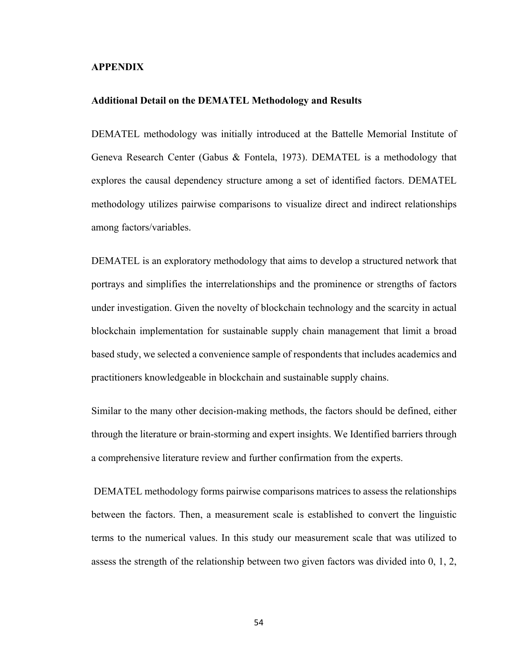## **APPENDIX**

#### **Additional Detail on the DEMATEL Methodology and Results**

DEMATEL methodology was initially introduced at the Battelle Memorial Institute of Geneva Research Center (Gabus & Fontela, 1973). DEMATEL is a methodology that explores the causal dependency structure among a set of identified factors. DEMATEL methodology utilizes pairwise comparisons to visualize direct and indirect relationships among factors/variables.

DEMATEL is an exploratory methodology that aims to develop a structured network that portrays and simplifies the interrelationships and the prominence or strengths of factors under investigation. Given the novelty of blockchain technology and the scarcity in actual blockchain implementation for sustainable supply chain management that limit a broad based study, we selected a convenience sample of respondents that includes academics and practitioners knowledgeable in blockchain and sustainable supply chains.

Similar to the many other decision-making methods, the factors should be defined, either through the literature or brain-storming and expert insights. We Identified barriers through a comprehensive literature review and further confirmation from the experts.

DEMATEL methodology forms pairwise comparisons matrices to assess the relationships between the factors. Then, a measurement scale is established to convert the linguistic terms to the numerical values. In this study our measurement scale that was utilized to assess the strength of the relationship between two given factors was divided into 0, 1, 2,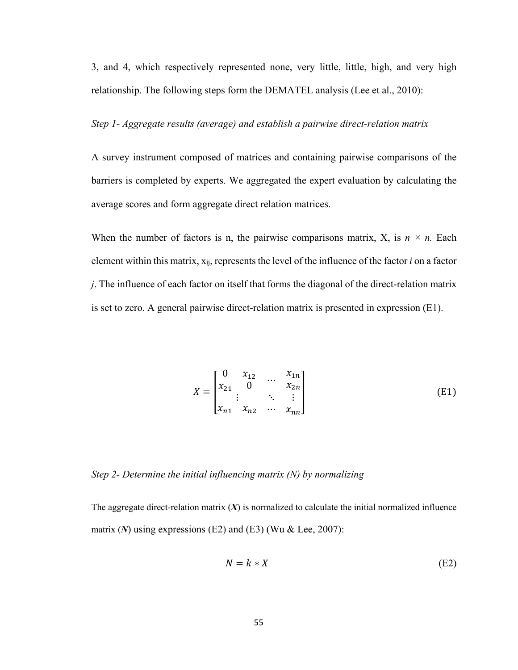3, and 4, which respectively represented none, very little, little, high, and very high relationship. The following steps form the DEMATEL analysis (Lee et al., 2010):

### *Step 1- Aggregate results (average) and establish a pairwise direct-relation matrix*

A survey instrument composed of matrices and containing pairwise comparisons of the barriers is completed by experts. We aggregated the expert evaluation by calculating the average scores and form aggregate direct relation matrices.

When the number of factors is n, the pairwise comparisons matrix, X, is  $n \times n$ . Each element within this matrix, xij, represents the level of the influence of the factor *i* on a factor *j*. The influence of each factor on itself that forms the diagonal of the direct-relation matrix is set to zero. A general pairwise direct-relation matrix is presented in expression (E1).

$$
X = \begin{bmatrix} 0 & x_{12} & \dots & x_{1n} \\ x_{21} & 0 & & x_{2n} \\ \vdots & & \ddots & \vdots \\ x_{n1} & x_{n2} & \dots & x_{nn} \end{bmatrix}
$$
(E1)

# *Step 2- Determine the initial influencing matrix (N) by normalizing*

The aggregate direct-relation matrix  $(X)$  is normalized to calculate the initial normalized influence matrix (*N*) using expressions (E2) and (E3) (Wu & Lee, 2007):

$$
N = k * X \tag{E2}
$$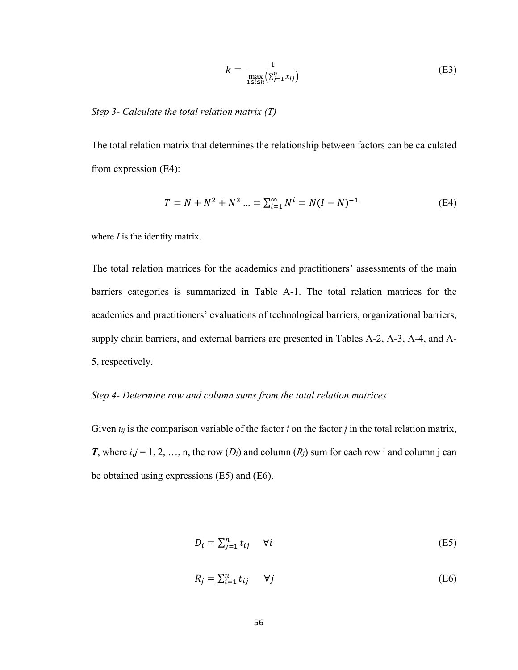$$
k = \frac{1}{\max_{1 \le i \le n} (\sum_{j=1}^n x_{ij})}
$$
(E3)

### *Step 3- Calculate the total relation matrix (T)*

The total relation matrix that determines the relationship between factors can be calculated from expression (E4):

$$
T = N + N^2 + N^3 \dots = \sum_{i=1}^{\infty} N^i = N(I - N)^{-1}
$$
 (E4)

where *I* is the identity matrix.

The total relation matrices for the academics and practitioners' assessments of the main barriers categories is summarized in Table A-1. The total relation matrices for the academics and practitioners' evaluations of technological barriers, organizational barriers, supply chain barriers, and external barriers are presented in Tables A-2, A-3, A-4, and A-5, respectively.

### *Step 4- Determine row and column sums from the total relation matrices*

Given *tij* is the comparison variable of the factor *i* on the factor *j* in the total relation matrix, *T*, where  $i, j = 1, 2, ..., n$ , the row  $(D_i)$  and column  $(R_j)$  sum for each row i and column j can be obtained using expressions (E5) and (E6).

$$
D_i = \sum_{j=1}^n t_{ij} \quad \forall i
$$
 (E5)

$$
R_j = \sum_{i=1}^n t_{ij} \qquad \forall j \tag{E6}
$$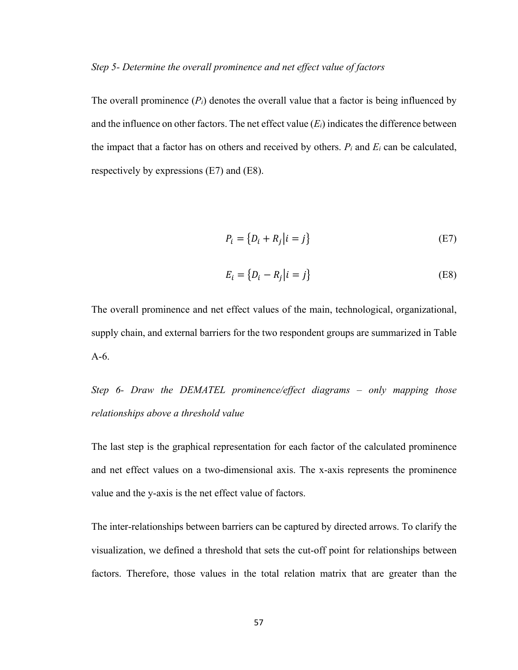## *Step 5- Determine the overall prominence and net effect value of factors*

The overall prominence  $(P_i)$  denotes the overall value that a factor is being influenced by and the influence on other factors. The net effect value  $(E_i)$  indicates the difference between the impact that a factor has on others and received by others.  $P_i$  and  $E_i$  can be calculated, respectively by expressions (E7) and (E8).

$$
P_i = \{D_i + R_j | i = j\}
$$
\n(E7)

$$
E_i = \{D_i - R_j | i = j\}
$$
\n(E8)

The overall prominence and net effect values of the main, technological, organizational, supply chain, and external barriers for the two respondent groups are summarized in Table A-6.

*Step 6- Draw the DEMATEL prominence/effect diagrams – only mapping those relationships above a threshold value*

The last step is the graphical representation for each factor of the calculated prominence and net effect values on a two-dimensional axis. The x-axis represents the prominence value and the y-axis is the net effect value of factors.

The inter-relationships between barriers can be captured by directed arrows. To clarify the visualization, we defined a threshold that sets the cut-off point for relationships between factors. Therefore, those values in the total relation matrix that are greater than the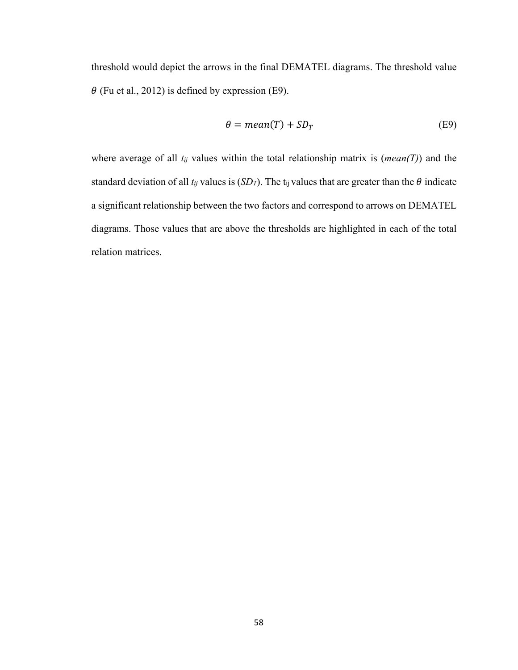threshold would depict the arrows in the final DEMATEL diagrams. The threshold value  $\theta$  (Fu et al., 2012) is defined by expression (E9).

$$
\theta = mean(T) + SD_T \tag{E9}
$$

where average of all *tij* values within the total relationship matrix is (*mean(T)*) and the standard deviation of all  $t_{ij}$  values is (*SDT*). The t<sub>ij</sub> values that are greater than the  $\theta$  indicate a significant relationship between the two factors and correspond to arrows on DEMATEL diagrams. Those values that are above the thresholds are highlighted in each of the total relation matrices.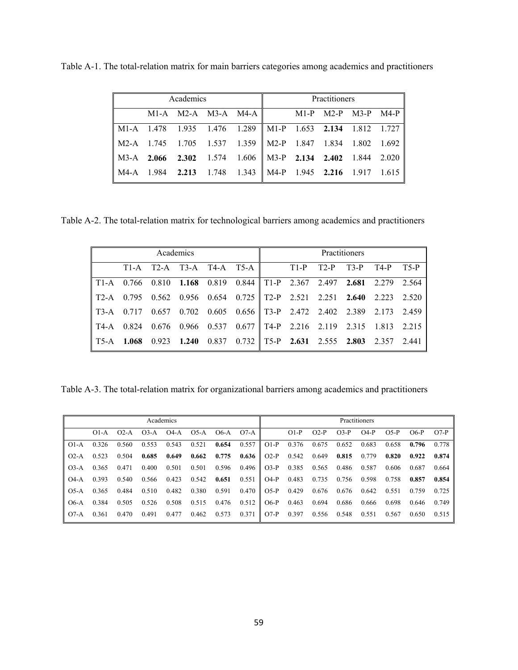|                                                             | Academics |                                         | Practitioners |  |  |  |  |  |
|-------------------------------------------------------------|-----------|-----------------------------------------|---------------|--|--|--|--|--|
|                                                             |           | M1-A M2-A M3-A M4-A M1-P M2-P M3-P M4-P |               |  |  |  |  |  |
| M1-A 1.478 1.935 1.476 1.289   M1-P 1.653 2.134 1.812 1.727 |           |                                         |               |  |  |  |  |  |
| M2-A 1.745 1.705 1.537 1.359 M2-P 1.847 1.834 1.802 1.692   |           |                                         |               |  |  |  |  |  |
| M3-A 2.066 2.302 1.574 1.606 M3-P 2.134 2.402 1.844 2.020   |           |                                         |               |  |  |  |  |  |
| M4-A 1.984 2.213 1.748 1.343   M4-P 1.945 2.216 1.917 1.615 |           |                                         |               |  |  |  |  |  |

Table A-1. The total-relation matrix for main barriers categories among academics and practitioners

Table A-2. The total-relation matrix for technological barriers among academics and practitioners

|                           | Academics |       |                                                                       |  |                                                            |  |  |        | Practitioners |      |        |
|---------------------------|-----------|-------|-----------------------------------------------------------------------|--|------------------------------------------------------------|--|--|--------|---------------|------|--------|
|                           | $T1-A$    |       | $T2-A$ $T3-A$ $T4-A$ $T5-A$ $T1-P$                                    |  |                                                            |  |  | $T2-P$ | $T3-P$        | T4-P | $T5-P$ |
|                           |           |       | T1-A 0.766 0.810 1.168 0.819 0.844 T1-P 2.367 2.497 2.681 2.279 2.564 |  |                                                            |  |  |        |               |      |        |
| $\mathsf{I}$ T2-A         | 0.795     |       | 0.562 0.956 0.654 0.725 T2-P 2.521 2.251 2.640 2.223                  |  |                                                            |  |  |        |               |      | 2.520  |
| $\blacksquare$ T3-A 0.717 |           | 0.657 |                                                                       |  | $0.702$ $0.605$ $0.656$ T3-P 2.472 2.402 2.389 2.173 2.459 |  |  |        |               |      |        |
| I T4-A                    | 0.824     |       | 0.676 0.966 0.537 0.677 T4-P 2.216 2.119 2.315 1.813 2.215            |  |                                                            |  |  |        |               |      |        |
| IT5-A 1.068               |           |       | 0.923 1.240 0.837 0.732 T5-P 2.631 2.555 2.803 2.357 2.441            |  |                                                            |  |  |        |               |      |        |

Table A-3. The total-relation matrix for organizational barriers among academics and practitioners

|        | Academics |        |        |        |        |       |                       | Practitioners |        |        |        |        |        |        |        |
|--------|-----------|--------|--------|--------|--------|-------|-----------------------|---------------|--------|--------|--------|--------|--------|--------|--------|
|        | $O1-A$    | $O2-A$ | $O3-A$ | $O4-A$ | $O5-A$ | O6-A  | $O7-A$ $\blacksquare$ |               | $O1-P$ | $O2-P$ | $O3-P$ | $O4-P$ | $O5-P$ | $O6-P$ | $O7-P$ |
| $O1-A$ | 0.326     | 0.560  | 0.553  | 0.543  | 0.521  | 0.654 | 0.557                 | $O1-P$        | 0.376  | 0.675  | 0.652  | 0.683  | 0.658  | 0.796  | 0.778  |
| $O2-A$ | 0.523     | 0.504  | 0.685  | 0.649  | 0.662  | 0.775 | 0.636                 | $O2-P$        | 0.542  | 0.649  | 0.815  | 0.779  | 0.820  | 0.922  | 0.874  |
| $O3-A$ | 0.365     | 0.471  | 0.400  | 0.501  | 0.501  | 0.596 | 0.496                 | $O3-P$        | 0.385  | 0.565  | 0.486  | 0.587  | 0.606  | 0.687  | 0.664  |
| $O4-A$ | 0.393     | 0.540  | 0.566  | 0.423  | 0.542  | 0.651 | 0.551                 | $O4-P$        | 0.483  | 0.735  | 0.756  | 0.598  | 0.758  | 0.857  | 0.854  |
| $O5-A$ | 0.365     | 0.484  | 0.510  | 0.482  | 0.380  | 0.591 | 0.470                 | $O5-P$        | 0.429  | 0.676  | 0.676  | 0.642  | 0.551  | 0.759  | 0.725  |
| $O6-A$ | 0.384     | 0.505  | 0.526  | 0.508  | 0.515  | 0.476 | 0.512                 | $O6-P$        | 0.463  | 0.694  | 0.686  | 0.666  | 0.698  | 0.646  | 0.749  |
| $O7-A$ | 0.361     | 0.470  | 0.491  | 0.477  | 0.462  | 0.573 | 0.371                 | $O7-P$        | 0.397  | 0.556  | 0.548  | 0.551  | 0.567  | 0.650  | 0.515  |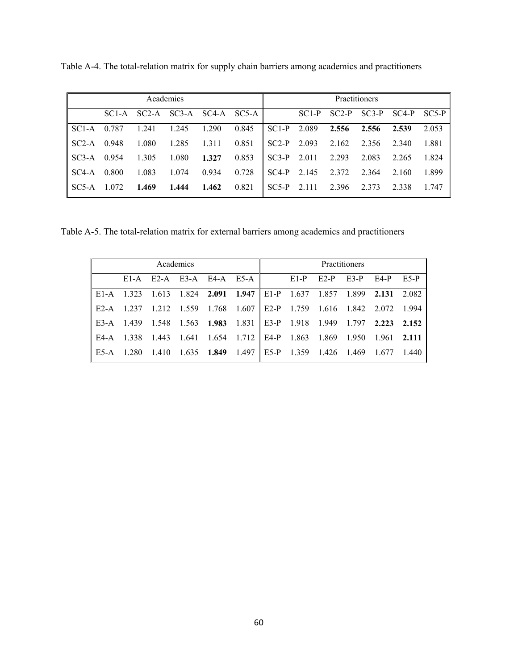| Academics                                       |                   |  |                                                                    |  |  |  | <b>Practitioners</b>                            |                                         |  |  |  |
|-------------------------------------------------|-------------------|--|--------------------------------------------------------------------|--|--|--|-------------------------------------------------|-----------------------------------------|--|--|--|
|                                                 |                   |  | SCI-A SC2-A SC3-A SC4-A SC5-A                                      |  |  |  |                                                 | $SC1-P$ $SC2-P$ $SC3-P$ $SC4-P$ $SC5-P$ |  |  |  |
| SC1-A 0.787                                     |                   |  | 1.241 1.245 1.290 0.845 SC1-P 2.089 2.556 2.556 2.539 2.053        |  |  |  |                                                 |                                         |  |  |  |
|                                                 | SC2-A 0.948 1.080 |  | 1.285 1.311 0.851                                                  |  |  |  | $\parallel$ SC2-P 2.093 2.162 2.356 2.340 1.881 |                                         |  |  |  |
| $\parallel$ SC3-A 0.954 1.305 1.080 1.327 0.853 |                   |  |                                                                    |  |  |  | $\parallel$ SC3-P 2.011 2.293 2.083 2.265 1.824 |                                         |  |  |  |
| SC4-A 0.800                                     |                   |  | 1.083 1.074 0.934 0.728                                            |  |  |  | $\parallel$ SC4-P 2.145 2.372 2.364 2.160 1.899 |                                         |  |  |  |
| $\sqrt{\text{SC5-A}}$ 1.072                     |                   |  | <b>1.469</b> 1.444 1.462 0.821 SC5-P 2.111 2.396 2.373 2.338 1.747 |  |  |  |                                                 |                                         |  |  |  |

Table A-4. The total-relation matrix for supply chain barriers among academics and practitioners

Table A-5. The total-relation matrix for external barriers among academics and practitioners

| Academics                                                                                     |  |  |  |  |  |  |                                                               | Practitioners |  |
|-----------------------------------------------------------------------------------------------|--|--|--|--|--|--|---------------------------------------------------------------|---------------|--|
|                                                                                               |  |  |  |  |  |  | E1-A E2-A E3-A E4-A E5-A $\parallel$ E1-P E2-P E3-P E4-P E5-P |               |  |
| E1-A 1.323 1.613 1.824 2.091 1.947    E1-P 1.637 1.857 1.899 2.131 2.082                      |  |  |  |  |  |  |                                                               |               |  |
| E2-A 1.237 1.212 1.559 1.768 1.607    E2-P 1.759 1.616 1.842 2.072 1.994                      |  |  |  |  |  |  |                                                               |               |  |
| E3-A 1.439 1.548 1.563 1.983 1.831    E3-P 1.918 1.949 1.797 2.223 2.152                      |  |  |  |  |  |  |                                                               |               |  |
| E4-A 1.338 1.443 1.641 1.654 1.712    E4-P 1.863 1.869 1.950 1.961 2.111                      |  |  |  |  |  |  |                                                               |               |  |
| $\parallel$ E5-A 1.280 1.410 1.635 1.849 1.497 $\parallel$ E5-P 1.359 1.426 1.469 1.677 1.440 |  |  |  |  |  |  |                                                               |               |  |